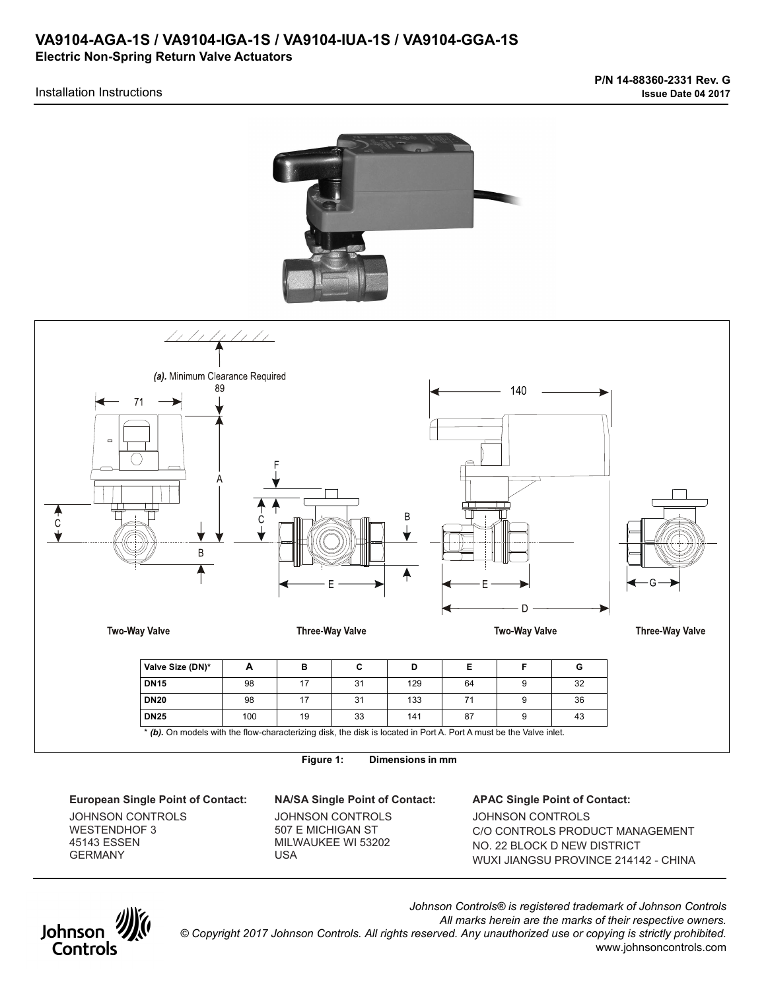# **VA9104-AGA-1S / VA9104-IGA-1S / VA9104-IUA-1S / VA9104-GGA-1S Electric Non-Spring Return Valve Actuators**

## Installation Instructions





**Figure 1: Dimensions in mm** 

**European Single Point of Contact: NA/SA Single Point of Contact: APAC Single Point of Contact:** 

JOHNSON CONTROLS WESTENDHOF 3 45143 ESSEN GERMANY

JOHNSON CONTROLS 507 E MICHIGAN ST MILWAUKEE WI 53202 USA

JOHNSON CONTROLS C/O CONTROLS PRODUCT MANAGEMENT NO. 22 BLOCK D NEW DISTRICT WUXI JIANGSU PROVINCE 214142 - CHINA



*Johnson Controls® is registered trademark of Johnson Controls All marks herein are the marks of their respective owners. © Copyright 2017 Johnson Controls. All rights reserved. Any unauthorized use or copying is strictly prohibited.* www.johnsoncontrols.com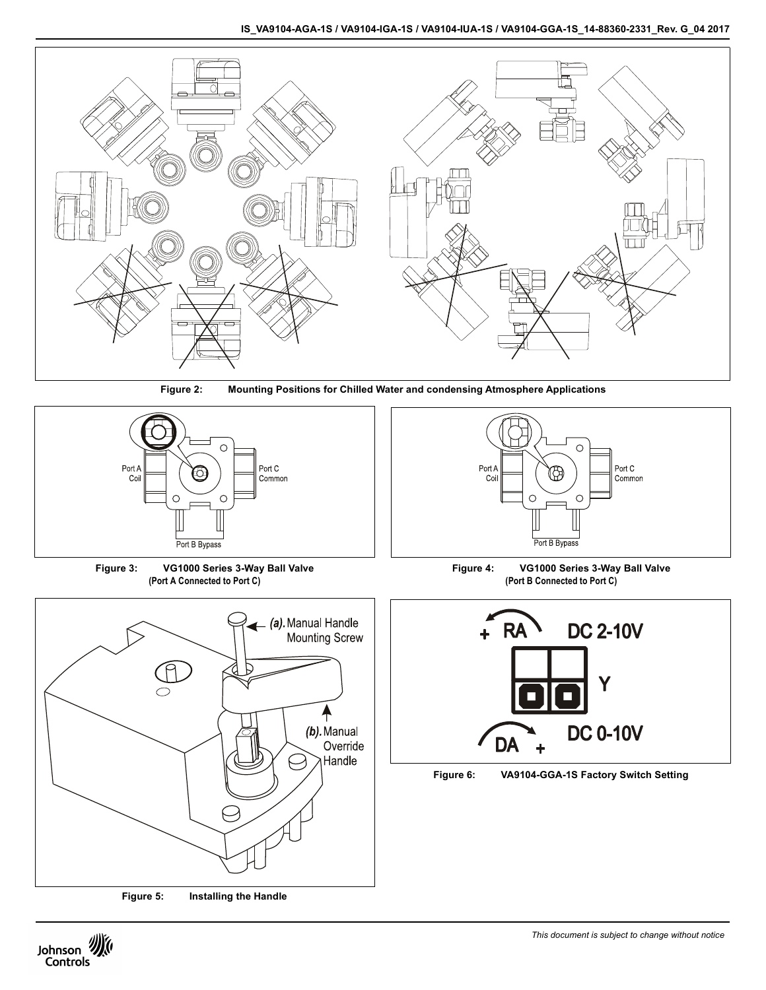



**Figure 2: Mounting Positions for Chilled Water and condensing Atmosphere Applications**



**Figure 3: VG1000 Series 3-Way Ball Valve (Port A Connected to Port C)**



**Figure 5: Installing the Handle**



**Figure 4: VG1000 Series 3-Way Ball Valve (Port B Connected to Port C)**



**Figure 6: VA9104-GGA-1S Factory Switch Setting**

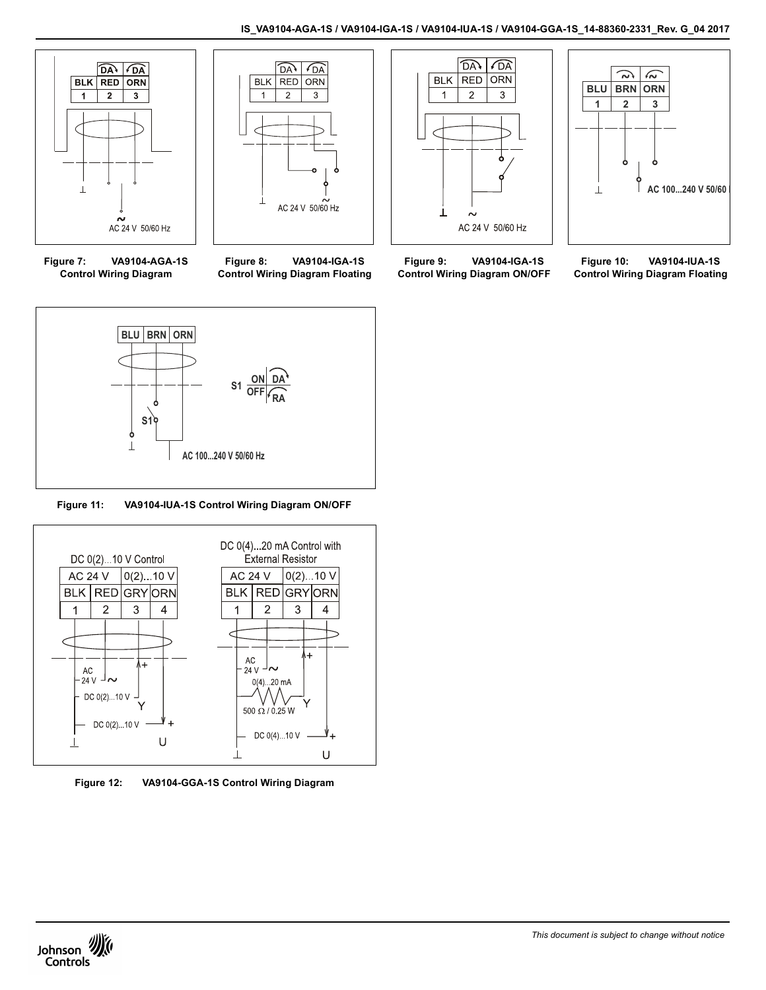



**Figure 7: VA9104-AGA-1S Control Wiring Diagram**

**Figure 8: VA9104-IGA-1S Control Wiring Diagram Floating**





**Figure 9: VA9104-IGA-1S Control Wiring Diagram ON/OFF**

**Figure 10: VA9104-IUA-1S Control Wiring Diagram Floating**



**Figure 11: VA9104-IUA-1S Control Wiring Diagram ON/OFF**



**Figure 12: VA9104-GGA-1S Control Wiring Diagram**

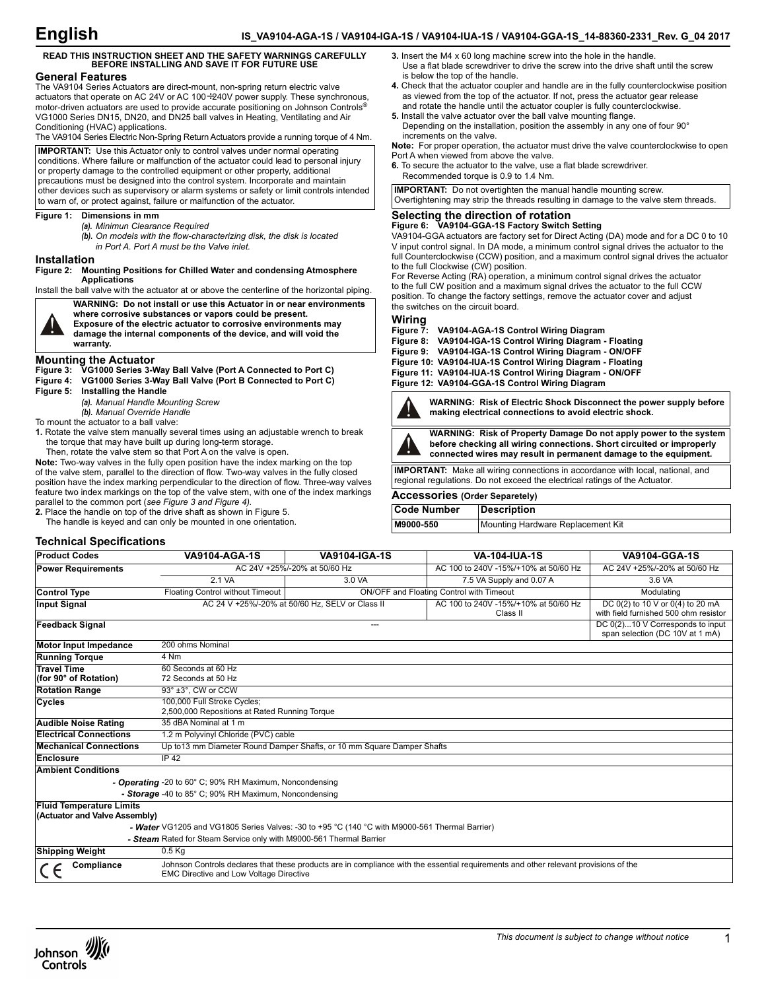# **READ THIS INSTRUCTION SHEET AND THE SAFETY WARNINGS CAREFULLY BEFORE INSTALLING AND SAVE IT FOR FUTURE USE**

#### **General Features**

The VA9104 Series Actuators are direct-mount, non-spring return electric valve actuators that operate on AC 24V or AC 100÷240V power supply. These synchronous, motor-driven actuators are used to provide accurate positioning on Johnson Controls® VG1000 Series DN15, DN20, and DN25 ball valves in Heating, Ventilating and Air Conditioning (HVAC) applications.

The VA9104 Series Electric Non-Spring Return Actuators provide a running torque of 4 Nm.

**IMPORTANT:** Use this Actuator only to control valves under normal operating conditions. Where failure or malfunction of the actuator could lead to personal injury or property damage to the controlled equipment or other property, additional precautions must be designed into the control system. Incorporate and maintain other devices such as supervisory or alarm systems or safety or limit controls intended to warn of, or protect against, failure or malfunction of the actuator.

#### **Figure 1: Dimensions in mm**

- *(a). Minimun Clearance Required*
- *(b). On models with the flow-characterizing disk, the disk is located in Port A. Port A must be the Valve inlet.*
- **Installation**

**Figure 2: Mounting Positions for Chilled Water and condensing Atmosphere Applications**

Install the ball valve with the actuator at or above the centerline of the horizontal piping.



**WARNING: Do not install or use this Actuator in or near environments where corrosive substances or vapors could be present. Exposure of the electric actuator to corrosive environments may damage the internal components of the device, and will void the warranty.**

**Mounting the Actuator Figure 3: VG1000 Series 3-Way Ball Valve (Port A Connected to Port C)**

**Figure 4: VG1000 Series 3-Way Ball Valve (Port B Connected to Port C)**

**Figure 5: Installing the Handle**

*(a). Manual Handle Mounting Screw*

*(b). Manual Override Handle*

To mount the actuator to a ball valve:

- **1.** Rotate the valve stem manually several times using an adjustable wrench to break the torque that may have built up during long-term storage.
	- Then, rotate the valve stem so that Port A on the valve is open.

**Note:** Two-way valves in the fully open position have the index marking on the top of the valve stem, parallel to the direction of flow. Two-way valves in the fully closed position have the index marking perpendicular to the direction of flow. Three-way valves feature two index markings on the top of the valve stem, with one of the index markings parallel to the common port (*see Figure 3 and Figure 4).*

**2.** Place the handle on top of the drive shaft as shown in Figure 5.

The handle is keyed and can only be mounted in one orientation.

### **Technical Specifications**

| <b>Power Requirements</b>                                        | AC 24V +25%/-20% at 50/60 Hz                                                                   |                                                 | AC 100 to 240V -15%/+10% at 50/60 Hz                                | AC 24V +25%/-20% at 50/60 Hz                                                  |
|------------------------------------------------------------------|------------------------------------------------------------------------------------------------|-------------------------------------------------|---------------------------------------------------------------------|-------------------------------------------------------------------------------|
|                                                                  | 2.1 VA                                                                                         | 3.0 VA                                          | 7.5 VA Supply and 0.07 A                                            | 3.6 VA                                                                        |
| <b>Control Type</b>                                              | Floating Control without Timeout                                                               |                                                 | ON/OFF and Floating Control with Timeout                            | Modulating                                                                    |
| <b>Input Signal</b>                                              |                                                                                                | AC 24 V +25%/-20% at 50/60 Hz, SELV or Class II | AC 100 to 240V -15%/+10% at 50/60 Hz<br>Class II                    | DC $0(2)$ to 10 V or $0(4)$ to 20 mA<br>with field furnished 500 ohm resistor |
| <b>Feedback Signal</b><br>$---$                                  |                                                                                                |                                                 | DC 0(2)10 V Corresponds to input<br>span selection (DC 10V at 1 mA) |                                                                               |
| <b>Motor Input Impedance</b>                                     | 200 ohms Nominal                                                                               |                                                 |                                                                     |                                                                               |
| <b>Running Torque</b>                                            | 4 Nm                                                                                           |                                                 |                                                                     |                                                                               |
| <b>Travel Time</b><br>(for 90° of Rotation)                      | 60 Seconds at 60 Hz<br>72 Seconds at 50 Hz                                                     |                                                 |                                                                     |                                                                               |
| <b>Rotation Range</b>                                            | 93° ±3°, CW or CCW                                                                             |                                                 |                                                                     |                                                                               |
| Cycles                                                           | 100,000 Full Stroke Cycles;<br>2,500,000 Repositions at Rated Running Torque                   |                                                 |                                                                     |                                                                               |
| <b>Audible Noise Rating</b>                                      | 35 dBA Nominal at 1 m                                                                          |                                                 |                                                                     |                                                                               |
| <b>Electrical Connections</b>                                    | 1.2 m Polyvinyl Chloride (PVC) cable                                                           |                                                 |                                                                     |                                                                               |
| <b>Mechanical Connections</b>                                    | Up to 13 mm Diameter Round Damper Shafts, or 10 mm Square Damper Shafts                        |                                                 |                                                                     |                                                                               |
| <b>Enclosure</b>                                                 | IP 42                                                                                          |                                                 |                                                                     |                                                                               |
| <b>Ambient Conditions</b>                                        |                                                                                                |                                                 |                                                                     |                                                                               |
|                                                                  | - Operating -20 to 60° C; 90% RH Maximum, Noncondensing                                        |                                                 |                                                                     |                                                                               |
|                                                                  | - Storage -40 to 85° C; 90% RH Maximum, Noncondensing                                          |                                                 |                                                                     |                                                                               |
| <b>Fluid Temperature Limits</b><br>(Actuator and Valve Assembly) |                                                                                                |                                                 |                                                                     |                                                                               |
|                                                                  | - Water VG1205 and VG1805 Series Valves: -30 to +95 °C (140 °C with M9000-561 Thermal Barrier) |                                                 |                                                                     |                                                                               |
|                                                                  |                                                                                                |                                                 |                                                                     |                                                                               |

**Product Codes VA9104-AGA-1S VA9104-IGA-1S VA-104-IUA-1S VA9104-GGA-1S**

*- Steam* Rated for Steam Service only with M9000-561 Thermal Barrier

| Shipping Weight | 0.5 Kg                                                                                                                                                                                 |
|-----------------|----------------------------------------------------------------------------------------------------------------------------------------------------------------------------------------|
| Compliance      | Johnson Controls declares that these products are in compliance with the essential requirements and other relevant provisions of the<br><b>EMC Directive and Low Voltage Directive</b> |



- **4.** Check that the actuator coupler and handle are in the fully counterclockwise position as viewed from the top of the actuator. If not, press the actuator gear release and rotate the handle until the actuator coupler is fully counterclockwise.
- **5.** Install the valve actuator over the ball valve mounting flange. Depending on the installation, position the assembly in any one of four 90° increments on the valve.

**Note:** For proper operation, the actuator must drive the valve counterclockwise to open Port A when viewed from above the valve.

**6.** To secure the actuator to the valve, use a flat blade screwdriver. Recommended torque is 0.9 to 1.4 Nm.

**IMPORTANT:** Do not overtighten the manual handle mounting screw. Overtightening may strip the threads resulting in damage to the valve stem threads.

# **Selecting the direction of rotation Figure 6: VA9104-GGA-1S Factory Switch Setting**

VA9104-GGA actuators are factory set for Direct Acting (DA) mode and for a DC 0 to 10 V input control signal. In DA mode, a minimum control signal drives the actuator to the full Counterclockwise (CCW) position, and a maximum control signal drives the actuator to the full Clockwise (CW) position.

For Reverse Acting (RA) operation, a minimum control signal drives the actuator to the full CW position and a maximum signal drives the actuator to the full CCW position. To change the factory settings, remove the actuator cover and adjust the switches on the circuit board.

Wiring<br>Figure 7: **Figure 7: VA9104-AGA-1S Control Wiring Diagram**

- **Figure 8: VA9104-IGA-1S Control Wiring Diagram Floating**
- **Figure 9: VA9104-IGA-1S Control Wiring Diagram ON/OFF**
- **Figure 10: VA9104-IUA-1S Control Wiring Diagram Floating**
- **Figure 11: VA9104-IUA-1S Control Wiring Diagram ON/OFF**

**Figure 12: VA9104-GGA-1S Control Wiring Diagram**



**WARNING: Risk of Electric Shock Disconnect the power supply before making electrical connections to avoid electric shock.**



**WARNING: Risk of Property Damage Do not apply power to the system** 

**before checking all wiring connections. Short circuited or improperly connected wires may result in permanent damage to the equipment.**

**IMPORTANT:** Make all wiring connections in accordance with local, national, and regional regulations. Do not exceed the electrical ratings of the Actuator.

# **Accessories (Order Separetely)**

| Code Number | Description                       |
|-------------|-----------------------------------|
| M9000-550   | Mounting Hardware Replacement Kit |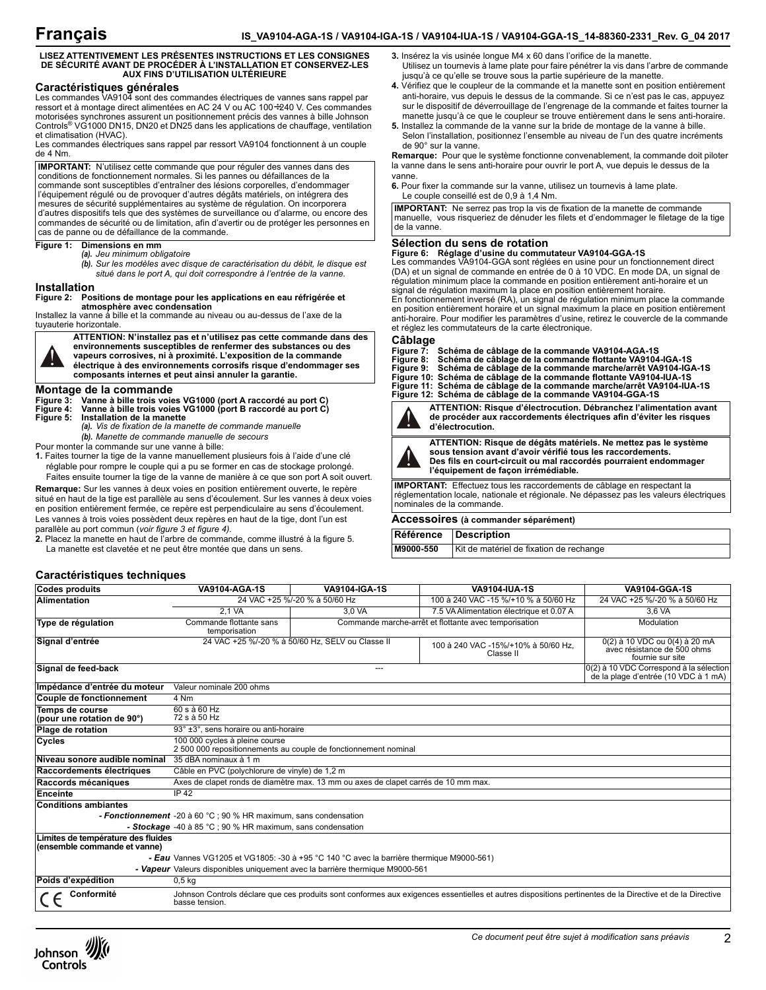**3.** Insérez la vis usinée longue M4 x 60 dans l'orifice de la manette.

jusqu'à ce qu'elle se trouve sous la partie supérieure de la manette.

**6.** Pour fixer la commande sur la vanne, utilisez un tournevis à lame plate.

Utilisez un tournevis à lame plate pour faire pénétrer la vis dans l'arbre de commande

**4.** Vérifiez que le coupleur de la commande et la manette sont en position entièrement anti-horaire, vus depuis le dessus de la commande. Si ce n'est pas le cas, appuyez sur le dispositif de déverrouillage de l'engrenage de la commande et faites tourner la manette jusqu'à ce que le coupleur se trouve entièrement dans le sens anti-horaire. **5.** Installez la commande de la vanne sur la bride de montage de la vanne à bille. Selon l'installation, positionnez l'ensemble au niveau de l'un des quatre incréments

**Remarque:** Pour que le système fonctionne convenablement, la commande doit piloter la vanne dans le sens anti-horaire pour ouvrir le port A, vue depuis le dessus de la

#### **LISEZ ATTENTIVEMENT LES PRÉSENTES INSTRUCTIONS ET LES CONSIGNES DE SÉCURITÉ AVANT DE PROCÉDER À L'INSTALLATION ET CONSERVEZ-LES AUX FINS D'UTILISATION ULTÉRIEURE**

#### **Caractéristiques générales**

Les commandes VA9104 sont des commandes électriques de vannes sans rappel par ressort et à montage direct alimentées en AC 24 V ou AC 100÷240 V. Ces commandes motorisées synchrones assurent un positionnement précis des vannes à bille Johnson Controls® VG1000 DN15, DN20 et DN25 dans les applications de chauffage, ventilation et climatisation (HVAC).

Les commandes électriques sans rappel par ressort VA9104 fonctionnent à un couple de 4 Nm.

**IMPORTANT:** N'utilisez cette commande que pour réguler des vannes dans des conditions de fonctionnement normales. Si les pannes ou défaillances de la commande sont susceptibles d'entraîner des lésions corporelles, d'endommager l'équipement régulé ou de provoquer d'autres dégâts matériels, on intégrera des mesures de sécurité supplémentaires au système de régulation. On incorporera d'autres dispositifs tels que des systèmes de surveillance ou d'alarme, ou encore des commandes de sécurité ou de limitation, afin d'avertir ou de protéger les personnes en cas de panne ou de défaillance de la commande.

#### **Figure 1: Dimensions en mm**

*(a). Jeu minimum obligatoire*

*(b). Sur les modèles avec disque de caractérisation du débit, le disque est situé dans le port A, qui doit correspondre à l'entrée de la vanne.*

#### **Installation**

**Figure 2: Positions de montage pour les applications en eau réfrigérée et atmosphère avec condensation**

Installez la vanne à bille et la commande au niveau ou au-dessus de l'axe de la tuyauterie horizontale.



**ATTENTION: N'installez pas et n'utilisez pas cette commande dans des environnements susceptibles de renfermer des substances ou des vapeurs corrosives, ni à proximité. L'exposition de la commande** 

**électrique à des environnements corrosifs risque d'endommager ses composants internes et peut ainsi annuler la garantie.**

#### **Montage de la commande**

**Figure 3: Vanne à bille trois voies VG1000 (port A raccordé au port C) Figure 4: Vanne à bille trois voies VG1000 (port B raccordé au port C)**

**Figure 5: Installation de la manette** *(a). Vis de fixation de la manette de commande manuelle (b). Manette de commande manuelle de secours*

- 
- Pour monter la commande sur une vanne à bille:

**1.** Faites tourner la tige de la vanne manuellement plusieurs fois à l'aide d'une clé réglable pour rompre le couple qui a pu se former en cas de stockage prolongé. Faites ensuite tourner la tige de la vanne de manière à ce que son port A soit ouvert.

**Remarque:** Sur les vannes à deux voies en position entièrement ouverte, le repère situé en haut de la tige est parallèle au sens d'écoulement. Sur les vannes à deux voies en position entièrement fermée, ce repère est perpendiculaire au sens d'écoulement. Les vannes à trois voies possèdent deux repères en haut de la tige, dont l'un est parallèle au port commun (*voir figure 3 et figure 4).*

**2.** Placez la manette en haut de l'arbre de commande, comme illustré à la figure 5. La manette est clavetée et ne peut être montée que dans un sens.

### **Caractéristiques techniques**

Le couple conseillé est de 0,9 à 1,4 Nm. **Sélection du sens de rotation IMPORTANT:** Ne serrez pas trop la vis de fixation de la manette de commande manuelle, vous risqueriez de dénuder les filets et d'endommager le filetage de la tige de la vanne.

de 90° sur la vanne.

**Figure 6: Réglage d'usine du commutateur VA9104-GGA-1S** Les commandes VA9104-GGA sont réglées en usine pour un fonctionnement direct (DA) et un signal de commande en entrée de 0 à 10 VDC. En mode DA, un signal de régulation minimum place la commande en position entièrement anti-horaire et un signal de régulation maximum la place en position entièrement horaire.

En fonctionnement inversé (RA), un signal de régulation minimum place la commande en position entièrement horaire et un signal maximum la place en position entièrement anti-horaire. Pour modifier les paramètres d'usine, retirez le couvercle de la commande et réglez les commutateurs de la carte électronique.

#### **Câblage**

vanne.

| Figure 7: Schéma de câblage de la commande VA9104-AGA-1S               |
|------------------------------------------------------------------------|
| Figure 8: Schéma de câblage de la commande flottante VA9104-IGA-1S     |
| Figure 9: Schéma de câblage de la commande marche/arrêt VA9104-IGA-1S  |
| Figure 10: Schéma de câblage de la commande flottante VA9104-IUA-1S    |
| Figure 11: Schéma de câblage de la commande marche/arrêt VA9104-IUA-1S |
| Figure 12: Schéma de câblage de la commande VA9104-GGA-1S              |
|                                                                        |



**ATTENTION: Risque d'électrocution. Débranchez l'alimentation avant de procéder aux raccordements électriques afin d'éviter les risques d'électrocution.**



**ATTENTION: Risque de dégâts matériels. Ne mettez pas le système sous tension avant d'avoir vérifié tous les raccordements. Des fils en court-circuit ou mal raccordés pourraient endommager l'équipement de façon irrémédiable.**

**IMPORTANT:** Effectuez tous les raccordements de câblage en respectant la réglementation locale, nationale et régionale. Ne dépassez pas les valeurs électriques nominales de la commande.

#### **Accessoires (à commander séparément)**

**Référence Description M9000-550** Kit de matériel de fixation de rechange

| <b>Codes produits</b>                                                                    | <b>VA9104-AGA-1S</b>                                                                                                                                                        | <b>VA9104-IGA-1S</b>                                                               | <b>VA9104-IUA-1S</b>                                  | <b>VA9104-GGA-1S</b>                                                             |  |  |
|------------------------------------------------------------------------------------------|-----------------------------------------------------------------------------------------------------------------------------------------------------------------------------|------------------------------------------------------------------------------------|-------------------------------------------------------|----------------------------------------------------------------------------------|--|--|
| <b>Alimentation</b>                                                                      |                                                                                                                                                                             | 24 VAC +25 %/-20 % à 50/60 Hz                                                      | 100 à 240 VAC -15 %/+10 % à 50/60 Hz                  | 24 VAC +25 %/-20 % à 50/60 Hz                                                    |  |  |
|                                                                                          | 2.1 VA                                                                                                                                                                      | 3,0 VA                                                                             | 7.5 VA Alimentation électrique et 0.07 A              | $3,6$ VA                                                                         |  |  |
| Type de régulation                                                                       | Commande flottante sans<br>temporisation                                                                                                                                    |                                                                                    | Commande marche-arrêt et flottante avec temporisation | Modulation                                                                       |  |  |
| Signal d'entrée                                                                          | 24 VAC +25 %/-20 % à 50/60 Hz, SELV ou Classe II<br>100 à 240 VAC -15%/+10% à 50/60 Hz.<br>Classe II                                                                        |                                                                                    |                                                       | 0(2) à 10 VDC ou 0(4) à 20 mA<br>avec résistance de 500 ohms<br>fournie sur site |  |  |
| Signal de feed-back                                                                      | 0(2) à 10 VDC Correspond à la sélection<br>---<br>de la plage d'entrée (10 VDC à 1 mA)                                                                                      |                                                                                    |                                                       |                                                                                  |  |  |
| Impédance d'entrée du moteur                                                             | Valeur nominale 200 ohms                                                                                                                                                    |                                                                                    |                                                       |                                                                                  |  |  |
| Couple de fonctionnement                                                                 | 4 Nm                                                                                                                                                                        |                                                                                    |                                                       |                                                                                  |  |  |
| Temps de course<br>(pour une rotation de 90°)                                            | 60 s à 60 Hz<br>72 s à 50 Hz                                                                                                                                                |                                                                                    |                                                       |                                                                                  |  |  |
| Plage de rotation                                                                        | 93° ±3°, sens horaire ou anti-horaire                                                                                                                                       |                                                                                    |                                                       |                                                                                  |  |  |
| <b>Cycles</b>                                                                            | 100 000 cycles à pleine course<br>2 500 000 repositionnements au couple de fonctionnement nominal                                                                           |                                                                                    |                                                       |                                                                                  |  |  |
| Niveau sonore audible nominal                                                            | 35 dBA nominaux à 1 m                                                                                                                                                       |                                                                                    |                                                       |                                                                                  |  |  |
| Raccordements électriques                                                                | Câble en PVC (polychlorure de vinyle) de 1,2 m                                                                                                                              |                                                                                    |                                                       |                                                                                  |  |  |
| Raccords mécaniques                                                                      |                                                                                                                                                                             | Axes de clapet ronds de diamètre max. 13 mm ou axes de clapet carrés de 10 mm max. |                                                       |                                                                                  |  |  |
| Enceinte                                                                                 | <b>IP42</b>                                                                                                                                                                 |                                                                                    |                                                       |                                                                                  |  |  |
| <b>Conditions ambiantes</b>                                                              |                                                                                                                                                                             |                                                                                    |                                                       |                                                                                  |  |  |
|                                                                                          | - Fonctionnement -20 à 60 °C ; 90 % HR maximum, sans condensation                                                                                                           |                                                                                    |                                                       |                                                                                  |  |  |
|                                                                                          | - Stockage -40 à 85 °C ; 90 % HR maximum, sans condensation                                                                                                                 |                                                                                    |                                                       |                                                                                  |  |  |
| (ensemble commande et vanne)                                                             | Limites de température des fluides                                                                                                                                          |                                                                                    |                                                       |                                                                                  |  |  |
| - Eau Vannes VG1205 et VG1805: -30 à +95 °C 140 °C avec la barrière thermique M9000-561) |                                                                                                                                                                             |                                                                                    |                                                       |                                                                                  |  |  |
|                                                                                          | - Vapeur Valeurs disponibles uniquement avec la barrière thermique M9000-561                                                                                                |                                                                                    |                                                       |                                                                                  |  |  |
| Poids d'expédition                                                                       | 0.5 <sub>kq</sub>                                                                                                                                                           |                                                                                    |                                                       |                                                                                  |  |  |
| Conformité                                                                               | Johnson Controls déclare que ces produits sont conformes aux exigences essentielles et autres dispositions pertinentes de la Directive et de la Directive<br>basse tension. |                                                                                    |                                                       |                                                                                  |  |  |

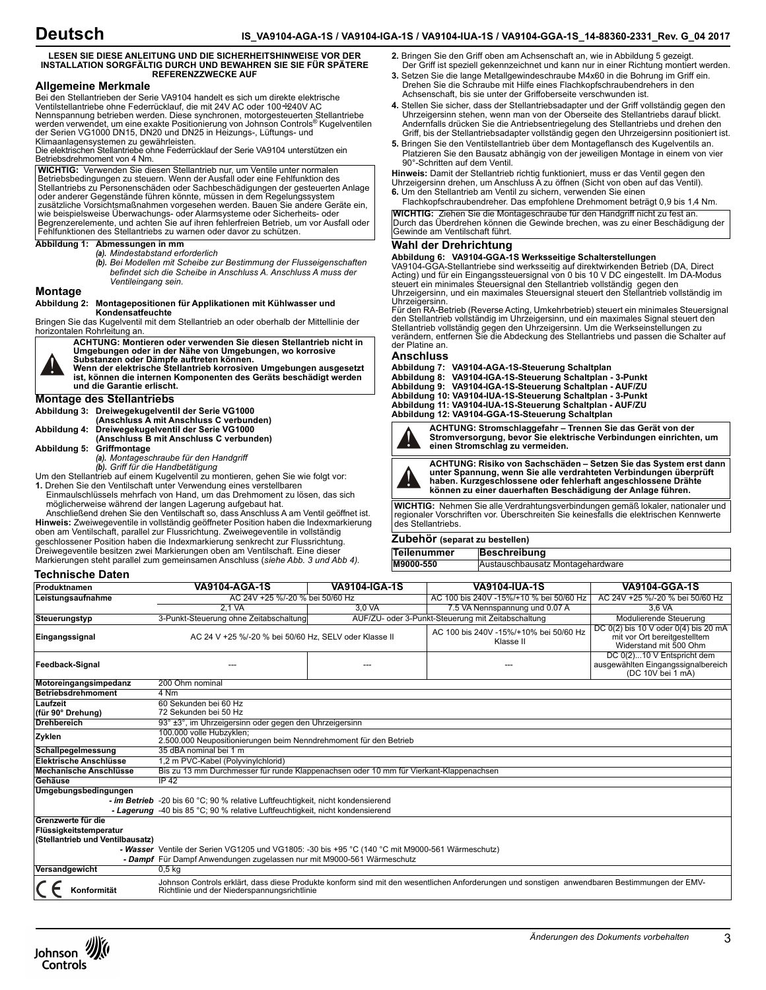# **Deutsch**

#### **LESEN SIE DIESE ANLEITUNG UND DIE SICHERHEITSHINWEISE VOR DER INSTALLATION SORGFÄLTIG DURCH UND BEWAHREN SIE SIE FÜR SPÄTERE REFERENZZWECKE AUF**

# **Allgemeine Merkmale**

Bei den Stellantrieben der Serie VA9104 handelt es sich um direkte elektrische<br>Ventilstellantriebe ohne Federrücklauf, die mit 24V AC oder 100÷240V AC Nennspannung betrieben werden. Diese synchronen, motorgesteuerten Stellantriebe werden verwendet, um eine exakte Positionierung von Johnson Controls® Kugelventilen der Serien VG1000 DN15, DN20 und DN25 in Heizungs-, Lüftungs- und Klimaanlagensystemen zu gewährleisten.

Die elektrischen Stellantriebe ohne Federrücklauf der Serie VA9104 unterstützen ein Betriebsdrehmoment von 4 Nm.

**WICHTIG:** Verwenden Sie diesen Stellantrieb nur, um Ventile unter normalen Betriebsbedingungen zu steuern. Wenn der Ausfall oder eine Fehlfunktion des Stellantriebs zu Personenschäden oder Sachbeschädigungen der gesteuerten Anlage oder anderer Gegenstände führen könnte, müssen in dem Regelungssystem zusätzliche Vorsichtsmaßnahmen vorgesehen werden. Bauen Sie andere Geräte ein, wie beispielsweise Überwachungs- oder Alarmsysteme oder Sicherheits- oder Begrenzerelemente, und achten Sie auf ihren fehlerfreien Betrieb, um vor Ausfall oder Fehlfunktionen des Stellantriebs zu warnen oder davor zu schützen.

## **Abbildung 1: Abmessungen in mm**

- *(a). Mindestabstand erforderlich*
	- *(b). Bei Modellen mit Scheibe zur Bestimmung der Flusseigenschaften befindet sich die Scheibe in Anschluss A. Anschluss A muss der Ventileingang sein.*

### **Montage**

#### **Abbildung 2: Montagepositionen für Applikationen mit Kühlwasser und Kondensatfeuchte**

Bringen Sie das Kugelventil mit dem Stellantrieb an oder oberhalb der Mittellinie der horizontalen Rohrleitung an.

**ACHTUNG: Montieren oder verwenden Sie diesen Stellantrieb nicht in Umgebungen oder in der Nähe von Umgebungen, wo korrosive Substanzen oder Dämpfe auftreten können. Wenn der elektrische Stellantrieb korrosiven Umgebungen ausgesetzt** 

**ist, können die internen Komponenten des Geräts beschädigt werden und die Garantie erlischt.**

# **Montage des Stellantriebs**

|                           | Abbildung 3: Dreiwegekugelventil der Serie VG1000 |
|---------------------------|---------------------------------------------------|
|                           | (Anschluss A mit Anschluss C verbunden)           |
|                           | Abbildung 4: Dreiwegekugelventil der Serie VG1000 |
|                           | (Anschluss B mit Anschluss C verbunden)           |
| Abbildung 5: Griffmontage |                                                   |
|                           | (a). Montageschraube für den Handgriff            |
|                           | (b). Griff für die Handbetätigung                 |

Um den Stellantrieb auf einem Kugelventil zu montieren, gehen Sie wie folgt vor: **1.** Drehen Sie den Ventilschaft unter Verwendung eines verstellbaren

Einmaulschlüssels mehrfach von Hand, um das Drehmoment zu lösen, das sich möglicherweise während der langen Lagerung aufgebaut hat.

Anschließend drehen Sie den Ventilschaft so, dass Anschluss A am Ventil geöffnet ist. **Hinweis:** Zweiwegeventile in vollständig geöffneter Position haben die Indexmarkierung oben am Ventilschaft, parallel zur Flussrichtung. Zweiwegeventile in vollständig geschlossener Position haben die Indexmarkierung senkrecht zur Flussrichtung. Dreiwegeventile besitzen zwei Markierungen oben am Ventilschaft. Eine dieser Markierungen steht parallel zum gemeinsamen Anschluss (*siehe Abb. 3 und Abb 4).*

- **2.** Bringen Sie den Griff oben am Achsenschaft an, wie in Abbildung 5 gezeigt. Der Griff ist speziell gekennzeichnet und kann nur in einer Richtung montiert werden.
- **3.** Setzen Sie die lange Metallgewindeschraube M4x60 in die Bohrung im Griff ein. Drehen Sie die Schraube mit Hilfe eines Flachkopfschraubendrehers in den Achsenschaft, bis sie unter der Griffoberseite verschwunden ist.
- **4.** Stellen Sie sicher, dass der Stellantriebsadapter und der Griff vollständig gegen den Uhrzeigersinn stehen, wenn man von der Oberseite des Stellantriebs darauf blickt. Andernfalls drücken Sie die Antriebsentriegelung des Stellantriebs und drehen den Griff, bis der Stellantriebsadapter vollständig gegen den Uhrzeigersinn positioniert ist.
- **5.** Bringen Sie den Ventilstellantrieb über dem Montageflansch des Kugelventils an. Platzieren Sie den Bausatz abhängig von der jeweiligen Montage in einem von vier 90°-Schritten auf dem Ventil.

**Hinweis:** Damit der Stellantrieb richtig funktioniert, muss er das Ventil gegen den<br>Uhrzeigersinn drehen, um Anschluss A zu öffnen (Sicht von oben auf das Ventil).

**6.** Um den Stellantrieb am Ventil zu sichern, verwenden Sie einen Flachkopfschraubendreher. Das empfohlene Drehmoment beträgt 0,9 bis 1,4 Nm.

**WICHTIG:** Ziehen Sie die Montageschraube für den Handgriff nicht zu fest an. Durch das Überdrehen können die Gewinde brechen, was zu einer Beschädigung der Gewinde am Ventilschaft führt.

### **Wahl der Drehrichtung**

#### **Abbildung 6: VA9104-GGA-1S Werksseitige Schalterstellungen**

VA9104-GGA-Stellantriebe sind werksseitig auf direktwirkenden Betrieb (DA, Direct<br>Acting) und für ein Eingangssteuersignal von 0 bis 10 V DC eingestellt. Im DA-Modus<br>steuert ein minimales Steuersignal den Stellantrieb voll Uhrzeigersinn, und ein maximales Steuersignal steuert den Stellantrieb vollständig im Uhrzeigersinn.

Für den RA-Betrieb (Reverse Acting, Umkehrbetrieb) steuert ein minimales Steuersignal den Stellantrieb vollständig im Uhrzeigersinn, und ein maximales Signal steuert den<br>Stellantrieb vollständig gegen den Uhrzeigersinn. Um die Werkseinstellungen zu<br>verändern, entfernen Sie die Abdeckung des Stellantriebs un der Platine an.

### **Anschluss**

**Abbildung 7: VA9104-AGA-1S-Steuerung Schaltplan Abbildung 8: VA9104-IGA-1S-Steuerung Schaltplan - 3-Punkt Abbildung 9: VA9104-IGA-1S-Steuerung Schaltplan - AUF/ZU Abbildung 10: VA9104-IUA-1S-Steuerung Schaltplan - 3-Punkt Abbildung 11: VA9104-IUA-1S-Steuerung Schaltplan - AUF/ZU**

**Abbildung 12: VA9104-GGA-1S-Steuerung Schaltplan**

**ACHTUNG: Stromschlaggefahr – Trennen Sie das Gerät von der Stromversorgung, bevor Sie elektrische Verbindungen einrichten, um einen Stromschlag zu vermeiden.**



**ACHTUNG: Risiko von Sachschäden – Setzen Sie das System erst dann unter Spannung, wenn Sie alle verdrahteten Verbindungen überprüft haben. Kurzgeschlossene oder fehlerhaft angeschlossene Drähte können zu einer dauerhaften Beschädigung der Anlage führen.**

**WICHTIG:** Nehmen Sie alle Verdrahtungsverbindungen gemäß lokaler, nationaler und regionaler Vorschriften vor. Überschreiten Sie keinesfalls die elektrischen Kennwerte des Stellantriebs.

### **Zubehör (separat zu bestellen)**

| Teilenummer | Beschreibung                     |
|-------------|----------------------------------|
| M9000-550   | Austauschbausatz Montagehardware |

### **Technische Daten**

| Produktnamen                     | <b>VA9104-AGA-1S</b>                                                                                                                                                                          | <b>VA9104-IGA-1S</b> | <b>VA9104-IUA-1S</b>                                | <b>VA9104-GGA-1S</b>                                                                           |
|----------------------------------|-----------------------------------------------------------------------------------------------------------------------------------------------------------------------------------------------|----------------------|-----------------------------------------------------|------------------------------------------------------------------------------------------------|
| Leistungsaufnahme                | AC 24V +25 %/-20 % bei 50/60 Hz                                                                                                                                                               |                      | AC 100 bis 240V -15%/+10 % bei 50/60 Hz             | AC 24V +25 %/-20 % bei 50/60 Hz                                                                |
|                                  | 2.1 VA                                                                                                                                                                                        | 3.0 VA               | 7.5 VA Nennspannung und 0.07 A                      | 3.6 VA                                                                                         |
| Steuerungstyp                    | 3-Punkt-Steuerung ohne Zeitabschaltung                                                                                                                                                        |                      | AUF/ZU- oder 3-Punkt-Steuerung mit Zeitabschaltung  | Modulierende Steuerung                                                                         |
| Eingangssignal                   | AC 24 V +25 %/-20 % bei 50/60 Hz, SELV oder Klasse II                                                                                                                                         |                      | AC 100 bis 240V -15%/+10% bei 50/60 Hz<br>Klasse II | DC 0(2) bis 10 V oder 0(4) bis 20 mA<br>mit vor Ort bereitgestelltem<br>Widerstand mit 500 Ohm |
| Feedback-Signal                  |                                                                                                                                                                                               |                      |                                                     | DC 0(2)10 V Entspricht dem<br>ausgewählten Eingangssignalbereich<br>(DC 10V bei 1 mA)          |
| Motoreingangsimpedanz            | 200 Ohm nominal                                                                                                                                                                               |                      |                                                     |                                                                                                |
| Betriebsdrehmoment               | 4 Nm                                                                                                                                                                                          |                      |                                                     |                                                                                                |
| Laufzeit<br>(für 90° Drehung)    | 60 Sekunden bei 60 Hz<br>72 Sekunden bei 50 Hz                                                                                                                                                |                      |                                                     |                                                                                                |
| <b>Drehbereich</b>               | 93° ±3°, im Uhrzeigersinn oder gegen den Uhrzeigersinn                                                                                                                                        |                      |                                                     |                                                                                                |
| Zyklen                           | 100,000 volle Hubzyklen:<br>2.500.000 Neupositionierungen beim Nenndrehmoment für den Betrieb                                                                                                 |                      |                                                     |                                                                                                |
| Schallpegelmessung               | 35 dBA nominal bei 1 m                                                                                                                                                                        |                      |                                                     |                                                                                                |
| Elektrische Anschlüsse           | 1,2 m PVC-Kabel (Polyvinylchlorid)                                                                                                                                                            |                      |                                                     |                                                                                                |
| Mechanische Anschlüsse           | Bis zu 13 mm Durchmesser für runde Klappenachsen oder 10 mm für Vierkant-Klappenachsen                                                                                                        |                      |                                                     |                                                                                                |
| Gehäuse                          | IP 42                                                                                                                                                                                         |                      |                                                     |                                                                                                |
| Umgebungsbedingungen             |                                                                                                                                                                                               |                      |                                                     |                                                                                                |
|                                  | - im Betrieb -20 bis 60 °C; 90 % relative Luftfeuchtigkeit, nicht kondensierend                                                                                                               |                      |                                                     |                                                                                                |
| Grenzwerte für die               | - Lagerung -40 bis 85 °C; 90 % relative Luftfeuchtigkeit, nicht kondensierend                                                                                                                 |                      |                                                     |                                                                                                |
| Flüssigkeitstemperatur           |                                                                                                                                                                                               |                      |                                                     |                                                                                                |
| (Stellantrieb und Ventilbausatz) |                                                                                                                                                                                               |                      |                                                     |                                                                                                |
|                                  | - Wasser Ventile der Serien VG1205 und VG1805: -30 bis +95 °C (140 °C mit M9000-561 Wärmeschutz)                                                                                              |                      |                                                     |                                                                                                |
|                                  | - Dampf Für Dampf Anwendungen zugelassen nur mit M9000-561 Wärmeschutz                                                                                                                        |                      |                                                     |                                                                                                |
| Versandgewicht                   | 0.5 ka                                                                                                                                                                                        |                      |                                                     |                                                                                                |
| Konformität                      | Johnson Controls erklärt, dass diese Produkte konform sind mit den wesentlichen Anforderungen und sonstigen anwendbaren Bestimmungen der EMV-<br>Richtlinie und der Niederspannungsrichtlinie |                      |                                                     |                                                                                                |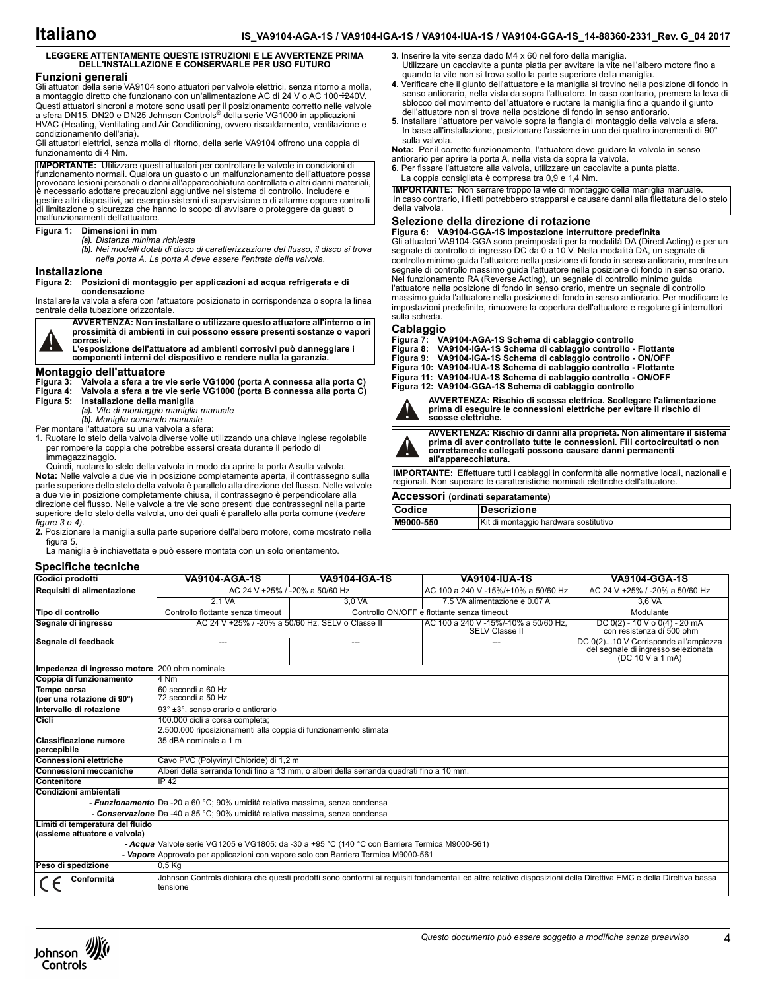**3.** Inserire la vite senza dado M4 x 60 nel foro della maniglia.

antiorario per aprire la porta A, nella vista da sopra la valvola.

La coppia consigliata è compresa tra 0,9 e 1,4 Nm.

quando la vite non si trova sotto la parte superiore della maniglia.

## **LEGGERE ATTENTAMENTE QUESTE ISTRUZIONI E LE AVVERTENZE PRIMA DELL'INSTALLAZIONE E CONSERVARLE PER USO FUTURO**

#### **Funzioni generali**

Gli attuatori della serie VA9104 sono attuatori per valvole elettrici, senza ritorno a molla, a montaggio diretto che funzionano con un'alimentazione AC di 24 V o AC 100÷240V. Questi attuatori sincroni a motore sono usati per il posizionamento corretto nelle valvole a sfera DN15, DN20 e DN25 Johnson Controls® della serie VG1000 in applicazioni HVAC (Heating, Ventilating and Air Conditioning, ovvero riscaldamento, ventilazione e condizionamento dell'aria).

Gli attuatori elettrici, senza molla di ritorno, della serie VA9104 offrono una coppia di funzionamento di 4 Nm.

**IMPORTANTE:** Utilizzare questi attuatori per controllare le valvole in condizioni di funzionamento normali. Qualora un guasto o un malfunzionamento dell'attuatore possa provocare lesioni personali o danni all'apparecchiatura controllata o altri danni materiali, è necessario adottare precauzioni aggiuntive nel sistema di controllo. Includere e<br>gestire altri dispositivi, ad esempio sistemi di supervisione o di allarme oppure controlli<br>di limitazione o sicurezza che hanno lo scopo d malfunzionamenti dell'attuatore.

#### **Figura 1: Dimensioni in mm**

*(a). Distanza minima richiesta*

- 
- *(b). Nei modelli dotati di disco di caratterizzazione del flusso, il disco si trova nella porta A. La porta A deve essere l'entrata della valvola.*

#### **Installazione**

#### **Figura 2: Posizioni di montaggio per applicazioni ad acqua refrigerata e di condensazione**

Installare la valvola a sfera con l'attuatore posizionato in corrispondenza o sopra la linea centrale della tubazione orizzontale.



**AVVERTENZA: Non installare o utilizzare questo attuatore all'interno o in prossimità di ambienti in cui possono essere presenti sostanze o vapori corrosivi.** 

**L'esposizione dell'attuatore ad ambienti corrosivi può danneggiare i componenti interni del dispositivo e rendere nulla la garanzia.**

# **Montaggio dell'attuatore**

**Figura 3: Valvola a sfera a tre vie serie VG1000 (porta A connessa alla porta C) Figura 4: Valvola a sfera a tre vie serie VG1000 (porta B connessa alla porta C)**

**Figura 5: Installazione della maniglia**

*(a). Vite di montaggio maniglia manuale (b). Maniglia comando manuale*

Per montare l'attuatore su una valvola a sfera:

**1.** Ruotare lo stelo della valvola diverse volte utilizzando una chiave inglese regolabile per rompere la coppia che potrebbe essersi creata durante il periodo di immagazzinaggio.

Quindi, ruotare lo stelo della valvola in modo da aprire la porta A sulla valvola. **Nota:** Nelle valvole a due vie in posizione completamente aperta, il contrassegno sulla parte superiore dello stelo della valvola è parallelo alla direzione del flusso. Nelle valvole a due vie in posizione completamente chiusa, il contrassegno è perpendicolare alla direzione del flusso. Nelle valvole a tre vie sono presenti due contrassegni nella parte superiore dello stelo della valvola, uno dei quali è parallelo alla porta comune (*vedere figure 3 e 4).*

**2.** Posizionare la maniglia sulla parte superiore dell'albero motore, come mostrato nella figura 5.

La maniglia è inchiavettata e può essere montata con un solo orientamento.

#### **Specifiche tecniche**

**Selezione della direzione di rotazione IMPORTANTE:** Non serrare troppo la vite di montaggio della maniglia manuale. In caso contrario, i filetti potrebbero strapparsi e causare danni alla filettatura dello stelo della valvola.

**Figura 6: VA9104-GGA-1S Impostazione interruttore predefinita** Gli attuatori VA9104-GGA sono preimpostati per la modalità DA (Direct Acting) e per un segnale di controllo di ingresso DC da 0 a 10 V. Nella modalità DA, un segnale di controllo minimo guida l'attuatore nella posizione di fondo in senso antiorario, mentre un segnale di controllo massimo guida l'attuatore nella posizione di fondo in senso orario. Nel funzionamento RA (Reverse Acting), un segnale di controllo minimo guida l'attuatore nella posizione di fondo in senso orario, mentre un segnale di controllo massimo guida l'attuatore nella posizione di fondo in senso antiorario. Per modificare le impostazioni predefinite, rimuovere la copertura dell'attuatore e regolare gli interruttori sulla scheda.

Utilizzare un cacciavite a punta piatta per avvitare la vite nell'albero motore fino a

**4.** Verificare che il giunto dell'attuatore e la maniglia si trovino nella posizione di fondo in senso antiorario, nella vista da sopra l'attuatore. In caso contrario, premere la leva di sblocco del movimento dell'attuatore e ruotare la maniglia fino a quando il giunto dell'attuatore non si trova nella posizione di fondo in senso antiorario. **5.** Installare l'attuatore per valvole sopra la flangia di montaggio della valvola a sfera. In base all'installazione, posizionare l'assieme in uno dei quattro incrementi di 90°

**Nota:** Per il corretto funzionamento, l'attuatore deve guidare la valvola in senso

**6.** Per fissare l'attuatore alla valvola, utilizzare un cacciavite a punta piatta.

sulla valvola.

Cablaggio<br>Figura 7: VA **Figura 7: VA9104-AGA-1S Schema di cablaggio controllo Figura 8: VA9104-IGA-1S Schema di cablaggio controllo - Flottante Figura 9: VA9104-IGA-1S Schema di cablaggio controllo - ON/OFF Figura 10: VA9104-IUA-1S Schema di cablaggio controllo - Flottante**

**Figura 11: VA9104-IUA-1S Schema di cablaggio controllo - ON/OFF Figura 12: VA9104-GGA-1S Schema di cablaggio controllo**



**AVVERTENZA: Rischio di scossa elettrica. Scollegare l'alimentazione prima di eseguire le connessioni elettriche per evitare il rischio di scosse elettriche.**



**AVVERTENZA: Rischio di danni alla proprietà. Non alimentare il sistema prima di aver controllato tutte le connessioni. Fili cortocircuitati o non** 

**correttamente collegati possono causare danni permanenti all'apparecchiatura. IMPORTANTE:** Effettuare tutti i cablaggi in conformità alle normative locali, nazionali e regionali. Non superare le caratteristiche nominali elettriche dell'attuatore.

# **Accessori (ordinati separatamente)**

| <b>Codice</b> | <b>IDescrizione</b> |                                       |
|---------------|---------------------|---------------------------------------|
| M9000-550     |                     | Kit di montaggio hardware sostitutivo |

| Codici prodotti                                                                    | VA9104-AGA-1S                                                                                                                                                                | <b>VA9104-IGA-1S</b> | <b>VA9104-IUA-1S</b>                                   | VA9104-GGA-1S                                                                                   |  |
|------------------------------------------------------------------------------------|------------------------------------------------------------------------------------------------------------------------------------------------------------------------------|----------------------|--------------------------------------------------------|-------------------------------------------------------------------------------------------------|--|
| Requisiti di alimentazione                                                         | AC 24 V +25% / -20% a 50/60 Hz                                                                                                                                               |                      | AC 100 a 240 V -15%/+10% a 50/60 Hz                    | AC 24 V +25% / -20% a 50/60 Hz                                                                  |  |
|                                                                                    | 2.1 VA                                                                                                                                                                       | 3.0 VA               | 7.5 VA alimentazione e 0.07 A                          | 3.6 VA                                                                                          |  |
| Tipo di controllo                                                                  | Controllo flottante senza timeout                                                                                                                                            |                      | Controllo ON/OFF e flottante senza timeout             | Modulante                                                                                       |  |
| Segnale di ingresso                                                                | AC 24 V +25% / -20% a 50/60 Hz, SELV o Classe II                                                                                                                             |                      | AC 100 a 240 V -15%/-10% a 50/60 Hz.<br>SELV Classe II | DC $0(2) - 10$ V o $0(4) - 20$ mA<br>con resistenza di 500 ohm                                  |  |
| Segnale di feedback                                                                | $\qquad \qquad \cdots$                                                                                                                                                       | $---$                | ---                                                    | DC 0(2)10 V Corrisponde all'ampiezza<br>del segnale di ingresso selezionata<br>(DC 10 V a 1 mA) |  |
| Impedenza di ingresso motore 200 ohm nominale                                      |                                                                                                                                                                              |                      |                                                        |                                                                                                 |  |
| Coppia di funzionamento                                                            | 4 Nm                                                                                                                                                                         |                      |                                                        |                                                                                                 |  |
| Tempo corsa<br>(per una rotazione di 90°)                                          | 60 secondi a 60 Hz<br>72 secondi a 50 Hz                                                                                                                                     |                      |                                                        |                                                                                                 |  |
| Intervallo di rotazione                                                            | 93° ±3°, senso orario o antiorario                                                                                                                                           |                      |                                                        |                                                                                                 |  |
| Cicli                                                                              | 100.000 cicli a corsa completa;<br>2.500.000 riposizionamenti alla coppia di funzionamento stimata                                                                           |                      |                                                        |                                                                                                 |  |
| <b>Classificazione rumore</b><br>percepibile                                       | 35 dBA nominale a 1 m                                                                                                                                                        |                      |                                                        |                                                                                                 |  |
| <b>Connessioni elettriche</b>                                                      | Cavo PVC (Polyvinyl Chloride) di 1,2 m                                                                                                                                       |                      |                                                        |                                                                                                 |  |
| <b>Connessioni meccaniche</b>                                                      | Alberi della serranda tondi fino a 13 mm, o alberi della serranda quadrati fino a 10 mm.                                                                                     |                      |                                                        |                                                                                                 |  |
| Contenitore                                                                        | IP 42                                                                                                                                                                        |                      |                                                        |                                                                                                 |  |
| Condizioni ambientali                                                              |                                                                                                                                                                              |                      |                                                        |                                                                                                 |  |
|                                                                                    | - Funzionamento Da -20 a 60 °C; 90% umidità relativa massima, senza condensa                                                                                                 |                      |                                                        |                                                                                                 |  |
|                                                                                    | - Conservazione Da -40 a 85 °C; 90% umidità relativa massima, senza condensa                                                                                                 |                      |                                                        |                                                                                                 |  |
| Limiti di temperatura del fluido<br>(assieme attuatore e valvola)                  |                                                                                                                                                                              |                      |                                                        |                                                                                                 |  |
|                                                                                    | - Acqua Valvole serie VG1205 e VG1805: da -30 a +95 °C (140 °C con Barriera Termica M9000-561)                                                                               |                      |                                                        |                                                                                                 |  |
| - Vapore Approvato per applicazioni con vapore solo con Barriera Termica M9000-561 |                                                                                                                                                                              |                      |                                                        |                                                                                                 |  |
| Peso di spedizione                                                                 | $0,5$ Kg                                                                                                                                                                     |                      |                                                        |                                                                                                 |  |
| Conformità                                                                         | Johnson Controls dichiara che questi prodotti sono conformi ai requisiti fondamentali ed altre relative disposizioni della Direttiva EMC e della Direttiva bassa<br>tensione |                      |                                                        |                                                                                                 |  |

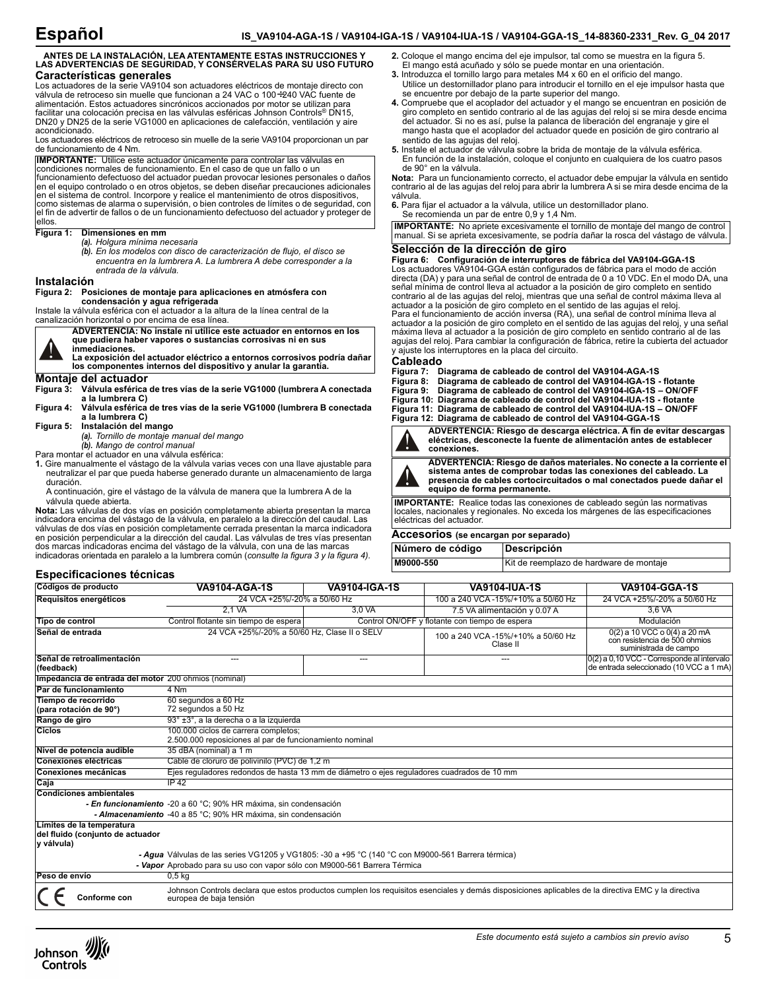# **ANTES DE LA INSTALACIÓN, LEA ATENTAMENTE ESTAS INSTRUCCIONES Y LAS ADVERTENCIAS DE SEGURIDAD, Y CONSÉRVELAS PARA SU USO FUTURO Características generales**

Los actuadores de la serie VA9104 son actuadores eléctricos de montaje directo con válvula de retroceso sin muelle que funcionan a 24 VAC o 100÷240 VAC fuente de alimentación. Estos actuadores sincrónicos accionados por motor se utilizan para facilitar una colocación precisa en las válvulas esféricas Johnson Controls® DN15, DN20 y DN25 de la serie VG1000 en aplicaciones de calefacción, ventilación y aire acondicionado.

Los actuadores eléctricos de retroceso sin muelle de la serie VA9104 proporcionan un par de funcionamiento de 4 Nm.

**IMPORTANTE:** Utilice este actuador únicamente para controlar las válvulas en condiciones normales de funcionamiento. En el caso de que un fallo o un funcionamiento defectuoso del actuador puedan provocar lesiones personales o daños en el equipo controlado o en otros objetos, se deben diseñar precauciones adicionales en el sistema de control. Incorpore y realice el mantenimiento de otros dispositivos, como sistemas de alarma o supervisión, o bien controles de límites o de seguridad, con el fin de advertir de fallos o de un funcionamiento defectuoso del actuador y proteger de ellos.

## **Figura 1: Dimensiones en mm**

- *(a). Holgura mínima necesaria*
- *(b). En los modelos con disco de caracterización de flujo, el disco se encuentra en la lumbrera A. La lumbrera A debe corresponder a la*
- *entrada de la válvula.*

# **Instalación**

#### **Figura 2: Posiciones de montaje para aplicaciones en atmósfera con condensación y agua refrigerada**

Instale la válvula esférica con el actuador a la altura de la línea central de la canalización horizontal o por encima de esa línea.

**ADVERTENCIA: No instale ni utilice este actuador en entornos en los que pudiera haber vapores o sustancias corrosivas ni en sus inmediaciones.** 

**La exposición del actuador eléctrico a entornos corrosivos podría dañar los componentes internos del dispositivo y anular la garantía.**

# **Montaje del actuador**

**Figura 3: Válvula esférica de tres vías de la serie VG1000 (lumbrera A conectada a la lumbrera C)**

**Figura 4: Válvula esférica de tres vías de la serie VG1000 (lumbrera B conectada a la lumbrera C)**

#### **Figura 5: Instalación del mango**

*(a). Tornillo de montaje manual del mango*

*(b). Mango de control manual*

Para montar el actuador en una válvula esférica:

- **1.** Gire manualmente el vástago de la válvula varias veces con una llave ajustable para neutralizar el par que pueda haberse generado durante un almacenamiento de larga duración.
- A continuación, gire el vástago de la válvula de manera que la lumbrera A de la válvula quede abierta.

**Nota:** Las válvulas de dos vías en posición completamente abierta presentan la marca indicadora encima del vástago de la válvula, en paralelo a la dirección del caudal. Las válvulas de dos vías en posición completamente cerrada presentan la marca indicadora en posición perpendicular a la dirección del caudal. Las válvulas de tres vías presentan dos marcas indicadoras encima del vástago de la válvula, con una de las marcas indicadoras orientada en paralelo a la lumbrera común (*consulte la figura 3 y la figura 4).*

#### **Especificaciones técnicas**

Johnson Controls

**Códigos de producto VA9104-AGA-1S VA9104-IGA-1S VA9104-IUA-1S VA9104-GGA-1S Requisitos energéticos** 24 VCA +25%/-20% a 50/60 Hz 100 a 240 VCA -15%/+10% a 50/60 Hz 24 VCA +25%/-20% a 50/60 Hz 3,0 VA 7.5 VA alimentación y 0.07 A **Tipo de control** Control Control flotante sin tiempo de espera control ON/OFF y flotante con tiempo de espera control **Señal de entrada** 24 VCA +25%/-20% a 50/60 Hz, Clase II o SELV 100 a 240 VCA -15%/+10% a 50/60 Hz Clase II 0(2) a 10 VCC o 0(4) a 20 mA con resistencia de 500 ohmios suministrada de campo **Señal de retroalimentación (feedback)** --- --- --- 0(2) a 0,10 VCC - Corresponde al intervalo de entrada seleccionado (10 VCC a 1 mA) **Impedancia de entrada del motor** 200 ohmios (nominal) **Par de funcionamiento** 4 Nm **Tiempo de recorrido (para rotación de 90°)** 60 segundos a 60 Hz 72 segundos a 50 Hz **Rango de giro** 93° ±3°, a la derecha o a la izquierda<br>Ciclos e carrera completos; **Ciclos** 100.000 ciclos de carrera completos; 2.500.000 reposiciones al par de funcionamiento nominal **Nivel de potencia audible** 35 dBA (nominal) a 1 m **Conexiones eléctricas** Cable de cloruro de polivinilo (PVC) de 1,2 m **Conexiones mecánicas** Ejes reguladores redondos de hasta 13 mm de diámetro o ejes reguladores cuadrados de 10 mm **Caja Condiciones ambientales** *- En funcionamiento* -20 a 60 °C; 90% HR máxima, sin condensación *- Almacenamiento* -40 a 85 °C; 90% HR máxima, sin condensación **Límites de la temperatura del fluido (conjunto de actuador y válvula)** *- Agua* Válvulas de las series VG1205 y VG1805: -30 a +95 °C (140 °C con M9000-561 Barrera térmica) *- Vapor* Aprobado para su uso con vapor sólo con M9000-561 Barrera Térmica **Peso de envío** 0,5 kg Johnson Controls declara que estos productos cumplen los requisitos esenciales y demás disposiciones aplicables de la directiva EMC y la directiva



*Este documento está sujeto a cambios sin previo aviso* 5



**2.** Coloque el mango encima del eje impulsor, tal como se muestra en la figura 5. El mango está acuñado y sólo se puede montar en una orientación.

- del actuador. Si no es así, pulse la palanca de liberación del engranaje y gire el mango hasta que el acoplador del actuador quede en posición de giro contrario al sentido de las agujas del reloj. **5.** Instale el actuador de válvula sobre la brida de montaje de la válvula esférica.
- En función de la instalación, coloque el conjunto en cualquiera de los cuatro pasos de 90° en la válvula.

**Nota:** Para un funcionamiento correcto, el actuador debe empujar la válvula en sentido contrario al de las agujas del reloj para abrir la lumbrera A si se mira desde encima de la válvula.

**6.** Para fijar el actuador a la válvula, utilice un destornillador plano.

Se recomienda un par de entre 0,9 y 1,4 Nm.

**IMPORTANTE:** No apriete excesivamente el tornillo de montaje del mango de control manual. Si se aprieta excesivamente, se podría dañar la rosca del vástago de válvula.

### **Selección de la dirección de giro**

**Figura 6: Configuración de interruptores de fábrica del VA9104-GGA-1S** Los actuadores VA9104-GGA están configurados de fábrica para el modo de acción directa (DA) y para una señal de control de entrada de 0 a 10 VDC. En el modo DA, una señal mínima de control lleva al actuador a la posición de giro completo en sentido contrario al de las agujas del reloj, mientras que una señal de control máxima lleva al actuador a la posición de giro completo en el sentido de las agujas el reloj. Para el funcionamiento de acción inversa (RA), una señal de control mínima lleva al

actuador a la posición de giro completo en el sentido de las agujas del reloj, y una señal máxima lleva al actuador a la posición de giro completo en sentido contrario al de las agujas del reloj. Para cambiar la configuración de fábrica, retire la cubierta del actuador y ajuste los interruptores en la placa del circuito. **Cableado**

**Figura 7: Diagrama de cableado de control del VA9104-AGA-1S Figura 8: Diagrama de cableado de control del VA9104-IGA-1S - flotante Figura 9: Diagrama de cableado de control del VA9104-IGA-1S – ON/OFF Figura 10: Diagrama de cableado de control del VA9104-IUA-1S - flotante Figura 11: Diagrama de cableado de control del VA9104-IUA-1S – ON/OFF Figura 12: Diagrama de cableado de control del VA9104-GGA-1S**



**ADVERTENCIA: Riesgo de descarga eléctrica. A fin de evitar descargas eléctricas, desconecte la fuente de alimentación antes de establecer conexiones.**



**ADVERTENCIA: Riesgo de daños materiales. No conecte a la corriente el sistema antes de comprobar todas las conexiones del cableado. La presencia de cables cortocircuitados o mal conectados puede dañar el equipo de forma permanente.**

**IMPORTANTE:** Realice todas las conexiones de cableado según las normativas locales, nacionales y regionales. No exceda los márgenes de las especificaciones eléctricas del actuador.

## **Accesorios (se encargan por separado)**

| Número de código | Descripción                             |
|------------------|-----------------------------------------|
| M9000-550        | Kit de reemplazo de hardware de montaje |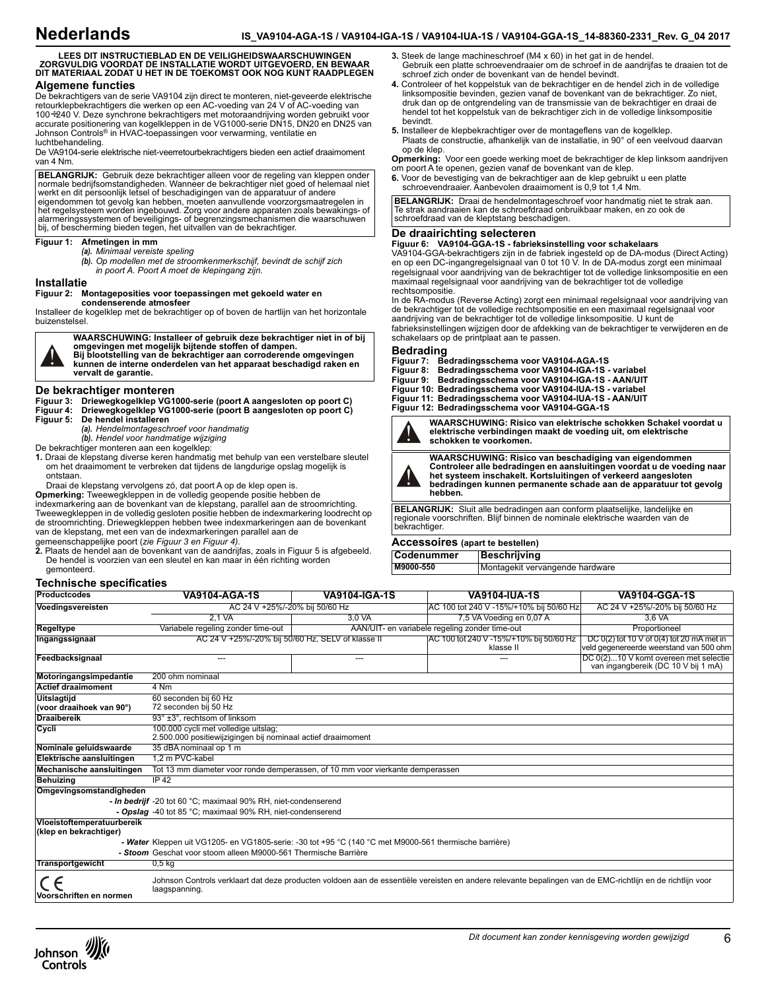# **LEES DIT INSTRUCTIEBLAD EN DE VEILIGHEIDSWAARSCHUWINGEN ZORGVULDIG VOORDAT DE INSTALLATIE WORDT UITGEVOERD, EN BEWAAR DIT MATERIAAL ZODAT U HET IN DE TOEKOMST OOK NOG KUNT RAADPLEGEN Algemene functies**

De bekrachtigers van de serie VA9104 zijn direct te monteren, niet-geveerde elektrische retourklepbekrachtigers die werken op een AC-voeding van 24 V of AC-voeding van 100÷240 V. Deze synchrone bekrachtigers met motoraandrijving worden gebruikt voor accurate positionering van kogelkleppen in de VG1000-serie DN15, DN20 en DN25 van Johnson Controls® in HVAC-toepassingen voor verwarming, ventilatie en luchtbehandeling.

De VA9104-serie elektrische niet-veerretourbekrachtigers bieden een actief draaimoment van 4 Nm.

**BELANGRIJK:** Gebruik deze bekrachtiger alleen voor de regeling van kleppen onder normale bedrijfsomstandigheden. Wanneer de bekrachtiger niet goed of helemaal niet werkt en dit persoonlijk letsel of beschadigingen van de apparatuur of andere eigendommen tot gevolg kan hebben, moeten aanvullende voorzorgsmaatregelen in het regelsysteem worden ingebouwd. Zorg voor andere apparaten zoals bewakings- of alarmeringssystemen of beveiligings- of begrenzingsmechanismen die waarschuwen bij, of bescherming bieden tegen, het uitvallen van de bekrachtiger.

#### **Figuur 1: Afmetingen in mm**

*(a). Minimaal vereiste speling*

*(b). Op modellen met de stroomkenmerkschijf, bevindt de schijf zich in poort A. Poort A moet de klepingang zijn.*

#### **Installatie**

#### **Figuur 2: Montageposities voor toepassingen met gekoeld water en condenserende atmosfeer**

Installeer de kogelklep met de bekrachtiger op of boven de hartlijn van het horizontale buizenstelsel.

**WAARSCHUWING: Installeer of gebruik deze bekrachtiger niet in of bij omgevingen met mogelijk bijtende stoffen of dampen. Bij blootstelling van de bekrachtiger aan corroderende omgevingen kunnen de interne onderdelen van het apparaat beschadigd raken en vervalt de garantie.**

#### **De bekrachtiger monteren**

**Figuur 3: Driewegkogelklep VG1000-serie (poort A aangesloten op poort C) Figuur 4: Driewegkogelklep VG1000-serie (poort B aangesloten op poort C) Figuur 5: De hendel installeren**

*(a). Hendelmontageschroef voor handmatig*

*(b). Hendel voor handmatige wijziging*

De bekrachtiger monteren aan een kogelklep:

**1.** Draai de klepstang diverse keren handmatig met behulp van een verstelbare sleutel om het draaimoment te verbreken dat tijdens de langdurige opslag mogelijk is ontstaan.

Draai de klepstang vervolgens zó, dat poort A op de klep open is.

**Opmerking:** Tweewegkleppen in de volledig geopende positie hebben de indexmarkering aan de bovenkant van de klepstang, parallel aan de stroomrichting. Tweewegkleppen in de volledig gesloten positie hebben de indexmarkering loodrecht op de stroomrichting. Driewegkleppen hebben twee indexmarkeringen aan de bovenkant van de klepstang, met een van de indexmarkeringen parallel aan de

gemeenschappelijke poort (*zie Figuur 3 en Figuur 4).*

**2.** Plaats de hendel aan de bovenkant van de aandrijfas, zoals in Figuur 5 is afgebeeld. De hendel is voorzien van een sleutel en kan maar in één richting worden gemonteerd.

### **Technische specificaties**

| <b>Productcodes</b>                                  | <b>VA9104-AGA-1S</b>                                                                                                                                                        | <b>VA9104-IGA-1S</b> | <b>VA9104-IUA-1S</b>                                  | <b>VA9104-GGA-1S</b>                                                                     |  |
|------------------------------------------------------|-----------------------------------------------------------------------------------------------------------------------------------------------------------------------------|----------------------|-------------------------------------------------------|------------------------------------------------------------------------------------------|--|
| Voedingsvereisten                                    | AC 24 V +25%/-20% bij 50/60 Hz                                                                                                                                              |                      | IAC 100 tot 240 V -15%/+10% bij 50/60 Hz              | AC 24 V +25%/-20% bij 50/60 Hz                                                           |  |
|                                                      | 2.1 VA                                                                                                                                                                      | 3.0 VA               | 7,5 VA Voeding en 0,07 A                              | 3.6 VA                                                                                   |  |
| Regeltype                                            | Variabele regeling zonder time-out                                                                                                                                          |                      | AAN/UIT- en variabele regeling zonder time-out        | Proportioneel                                                                            |  |
| Ingangssignaal                                       | AC 24 V +25%/-20% bij 50/60 Hz, SELV of klasse II                                                                                                                           |                      | IAC 100 tot 240 V -15%/+10% bij 50/60 Hz<br>klasse II | DC $0(2)$ tot 10 V of $0(4)$ tot 20 mA met in<br>veld gegenereerde weerstand van 500 ohm |  |
| Feedbacksignaal                                      | ---                                                                                                                                                                         | $---$                | ---                                                   | DC 0(2)10 V komt overeen met selectie<br>van ingangbereik (DC 10 V bij 1 mA)             |  |
| Motoringangsimpedantie                               | 200 ohm nominaal                                                                                                                                                            |                      |                                                       |                                                                                          |  |
| <b>Actief draaimoment</b>                            | 4 Nm                                                                                                                                                                        |                      |                                                       |                                                                                          |  |
| <b>Uitslagtijd</b><br>(voor draaihoek van 90°)       | 60 seconden bij 60 Hz<br>72 seconden bij 50 Hz                                                                                                                              |                      |                                                       |                                                                                          |  |
| <b>Draaibereik</b>                                   | 93° ±3°, rechtsom of linksom                                                                                                                                                |                      |                                                       |                                                                                          |  |
| Cycli                                                | 100.000 cycli met volledige uitslag;<br>2.500.000 positiewijzigingen bij nominaal actief draaimoment                                                                        |                      |                                                       |                                                                                          |  |
| Nominale geluidswaarde                               | 35 dBA nominaal op 1 m                                                                                                                                                      |                      |                                                       |                                                                                          |  |
| Elektrische aansluitingen                            | 1.2 m PVC-kabel                                                                                                                                                             |                      |                                                       |                                                                                          |  |
| Mechanische aansluitingen                            | Tot 13 mm diameter voor ronde demperassen, of 10 mm voor vierkante demperassen                                                                                              |                      |                                                       |                                                                                          |  |
| <b>Behuizing</b>                                     | IP 42                                                                                                                                                                       |                      |                                                       |                                                                                          |  |
| Omgevingsomstandigheden                              |                                                                                                                                                                             |                      |                                                       |                                                                                          |  |
|                                                      | - In bedrijf -20 tot 60 °C; maximaal 90% RH, niet-condenserend                                                                                                              |                      |                                                       |                                                                                          |  |
|                                                      | - Opslag -40 tot 85 °C; maximaal 90% RH, niet-condenserend                                                                                                                  |                      |                                                       |                                                                                          |  |
| Vloeistoftemperatuurbereik<br>(klep en bekrachtiger) |                                                                                                                                                                             |                      |                                                       |                                                                                          |  |
|                                                      | - Water Kleppen uit VG1205- en VG1805-serie: -30 tot +95 °C (140 °C met M9000-561 thermische barrière)                                                                      |                      |                                                       |                                                                                          |  |
|                                                      | - Stoom Geschat voor stoom alleen M9000-561 Thermische Barrière                                                                                                             |                      |                                                       |                                                                                          |  |
| <b>Transportgewicht</b>                              | 0.5 <sub>kq</sub>                                                                                                                                                           |                      |                                                       |                                                                                          |  |
| Voorschriften en normen                              | Johnson Controls verklaart dat deze producten voldoen aan de essentiële vereisten en andere relevante bepalingen van de EMC-richtlijn en de richtlijn voor<br>laagspanning. |                      |                                                       |                                                                                          |  |



- **4.** Controleer of het koppelstuk van de bekrachtiger en de hendel zich in de volledige linksompositie bevinden, gezien vanaf de bovenkant van de bekrachtiger. Zo niet, druk dan op de ontgrendeling van de transmissie van de bekrachtiger en draai de hendel tot het koppelstuk van de bekrachtiger zich in de volledige linksompositie bevindt.
- **5.** Installeer de klepbekrachtiger over de montageflens van de kogelklep. Plaats de constructie, afhankelijk van de installatie, in 90° of een veelvoud daarvan op de klep.

**Opmerking:** Voor een goede werking moet de bekrachtiger de klep linksom aandrijven om poort A te openen, gezien vanaf de bovenkant van de klep.

**6.** Voor de bevestiging van de bekrachtiger aan de klep gebruikt u een platte schroevendraaier. Aanbevolen draaimoment is 0,9 tot 1,4 Nm.

**BELANGRIJK:** Draai de hendelmontageschroef voor handmatig niet te strak aan. Te strak aandraaien kan de schroefdraad onbruikbaar maken, en zo ook de schroefdraad van de kleptstang beschadigen.

#### **De draairichting selecteren**

**Figuur 6: VA9104-GGA-1S - fabrieksinstelling voor schakelaars** VA9104-GGA-bekrachtigers zijn in de fabriek ingesteld op de DA-modus (Direct Acting) en op een DC-ingangregelsignaal van 0 tot 10 V. In de DA-modus zorgt een minimaal regelsignaal voor aandrijving van de bekrachtiger tot de volledige linksompositie en een maximaal regelsignaal voor aandrijving van de bekrachtiger tot de volledige rechtsompositie.

In de RA-modus (Reverse Acting) zorgt een minimaal regelsignaal voor aandrijving van de bekrachtiger tot de volledige rechtsompositie en een maximaal regelsignaal voor aandrijving van de bekrachtiger tot de volledige linksompositie. U kunt de

fabrieksinstellingen wijzigen door de afdekking van de bekrachtiger te verwijderen en de schakelaars op de printplaat aan te passen.

## **Bedrading**

- 
- **Figuur 7: Bedradingsschema voor VA9104-AGA-1S Figuur 8: Bedradingsschema voor VA9104-IGA-1S variabel**
- **Figuur 9: Bedradingsschema voor VA9104-IGA-1S AAN/UIT**
- **Figuur 10: Bedradingsschema voor VA9104-IUA-1S variabel**
- **Figuur 11: Bedradingsschema voor VA9104-IUA-1S AAN/UIT Figuur 12: Bedradingsschema voor VA9104-GGA-1S**



**WAARSCHUWING: Risico van elektrische schokken Schakel voordat u elektrische verbindingen maakt de voeding uit, om elektrische schokken te voorkomen.**



**WAARSCHUWING: Risico van beschadiging van eigendommen Controleer alle bedradingen en aansluitingen voordat u de voeding naar het systeem inschakelt. Kortsluitingen of verkeerd aangesloten bedradingen kunnen permanente schade aan de apparatuur tot gevolg hebben.**

**BELANGRIJK:** Sluit alle bedradingen aan conform plaatselijke, landelijke en regionale voorschriften. Blijf binnen de nominale elektrische waarden van de bekrachtiger.

## **Accessoires (apart te bestellen)**

| <b>Codenummer</b> | Beschrijving                    |
|-------------------|---------------------------------|
| M9000-550         | Montagekit vervangende hardware |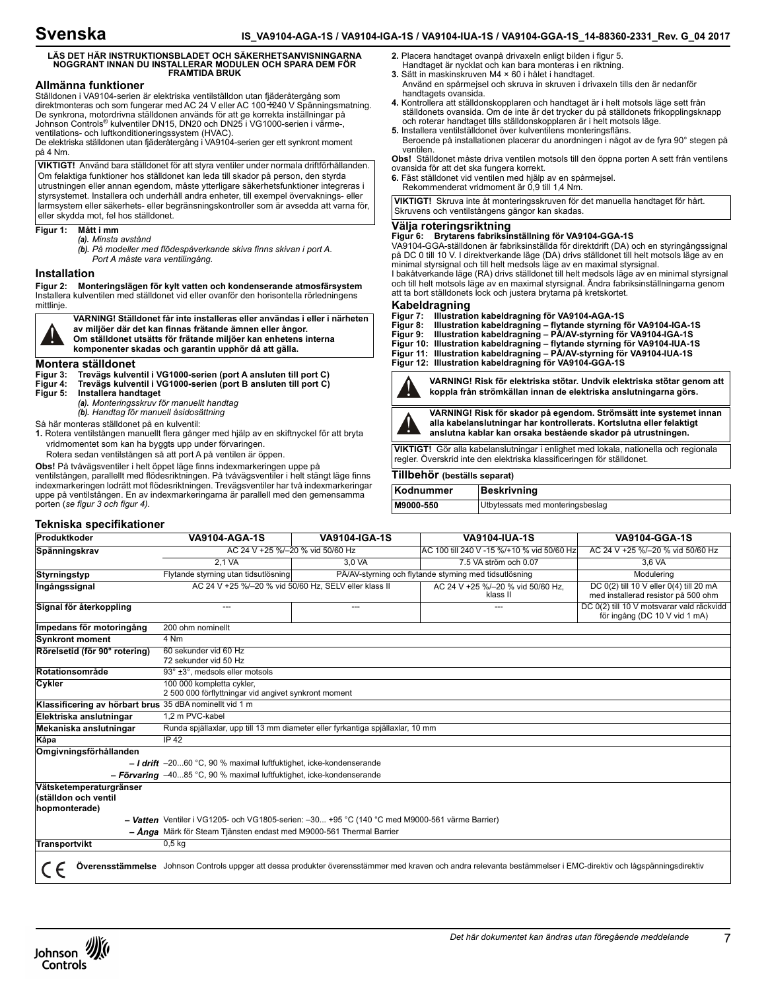# **Svenska**

# **LÄS DET HÄR INSTRUKTIONSBLADET OCH SÄKERHETSANVISNINGARNA NOGGRANT INNAN DU INSTALLERAR MODULEN OCH SPARA DEM FÖR FRAMTIDA BRUK**

# **Allmänna funktioner**

Ställdonen i VA9104-serien är elektriska ventilställdon utan fjäderåtergång som direktmonteras och som fungerar med AC 24 V eller AC 100÷240 V Spänningsmatning. De synkrona, motordrivna ställdonen används för att ge korrekta inställningar på Johnson Controls® kulventiler DN15, DN20 och DN25 i VG1000-serien i värme-, ventilations- och luftkonditioneringssystem (HVAC).

De elektriska ställdonen utan fjäderåtergång i VA9104-serien ger ett synkront moment på 4 Nm.

**VIKTIGT!** Använd bara ställdonet för att styra ventiler under normala driftförhållanden. Om felaktiga funktioner hos ställdonet kan leda till skador på person, den styrda utrustningen eller annan egendom, måste ytterligare säkerhetsfunktioner integreras i styrsystemet. Installera och underhåll andra enheter, till exempel övervaknings- eller larmsystem eller säkerhets- eller begränsningskontroller som är avsedda att varna för, eller skydda mot, fel hos ställdonet.

#### **Figur 1: Mått i mm**

*(a). Minsta avstånd*

*(b). På modeller med flödespåverkande skiva finns skivan i port A. Port A måste vara ventilingång.*

### **Installation**

**Figur 2: Monteringslägen för kylt vatten och kondenserande atmosfärsystem** Installera kulventilen med ställdonet vid eller ovanför den horisontella rörledningens mittlinje.

**VARNING! Ställdonet får inte installeras eller användas i eller i närheten av miljöer där det kan finnas frätande ämnen eller ångor. Om ställdonet utsätts för frätande miljöer kan enhetens interna komponenter skadas och garantin upphör då att gälla.**

# **Montera ställdonet**

**Figur 3: Trevägs kulventil i VG1000-serien (port A ansluten till port C)**

**Figur 4: Trevägs kulventil i VG1000-serien (port B ansluten till port C)**

**Figur 5: Installera handtaget** *(a). Monteringsskruv för manuellt handtag*

*(b). Handtag för manuell åsidosättning*

Så här monteras ställdonet på en kulventil:

- **1.** Rotera ventilstången manuellt flera gånger med hjälp av en skiftnyckel för att bryta vridmomentet som kan ha byggts upp under förvaringen.
- Rotera sedan ventilstången så att port A på ventilen är öppen.
- 

**Obs!** På tvåvägsventiler i helt öppet läge finns indexmarkeringen uppe på ventilstången, parallellt med flödesriktningen. På tvåvägsventiler i helt stängt läge finns indexmarkeringen lodrätt mot flödesriktningen. Trevägsventiler har två indexmarkeringar uppe på ventilstången. En av indexmarkeringarna är parallell med den gemensamma porten (*se figur 3 och figur 4).*

- **2.** Placera handtaget ovanpå drivaxeln enligt bilden i figur 5.
- Handtaget är nycklat och kan bara monteras i en riktning.
- **3.** Sätt in maskinskruven M4 × 60 i hålet i handtaget.
- Använd en spårmejsel och skruva in skruven i drivaxeln tills den är nedanför handtagets ovansida.
- **4.** Kontrollera att ställdonskopplaren och handtaget är i helt motsols läge sett från ställdonets ovansida. Om de inte är det trycker du på ställdonets frikopplingsknapp och roterar handtaget tills ställdonskopplaren är i helt motsols läge.
- **5.** Installera ventilställdonet över kulventilens monteringsfläns. Beroende på installationen placerar du anordningen i något av de fyra 90° stegen på ventilen.

**Obs!** Ställdonet måste driva ventilen motsols till den öppna porten A sett från ventilens ovansida för att det ska fungera korrekt.

**6.** Fäst ställdonet vid ventilen med hjälp av en spårmejsel.

Rekommenderat vridmoment är 0,9 till 1,4 Nm.

**VIKTIGT!** Skruva inte åt monteringsskruven för det manuella handtaget för hårt. Skruvens och ventilstångens gängor kan skadas.

#### **Välja roteringsriktning**

**Figur 6: Brytarens fabriksinställning för VA9104-GGA-1S**<br>VA9104-GGA-ställdonen är fabriksinställda för direktdrift (DA) och en styringångssignal på DC 0 till 10 V. I direktverkande läge (DA) drivs ställdonet till helt motsols läge av en minimal styrsignal och till helt medsols läge av en maximal styrsignal. I bakåtverkande läge (RA) drivs ställdonet till helt medsols läge av en minimal styrsignal och till helt motsols läge av en maximal styrsignal. Ändra fabriksinställningarna genom att ta bort ställdonets lock och justera brytarna på kretskortet.

- **Kabeldragning Figur 7: Illustration kabeldragning för VA9104-AGA-1S**
- 
- **Figur 8: Illustration kabeldragning flytande styrning för VA9104-IGA-1S Figur 9: Illustration kabeldragning PÅ/AV-styrning för VA9104-IGA-1S**
- **Figur 10: Illustration kabeldragning flytande styrning för VA9104-IUA-1S Figur 11: Illustration kabeldragning PÅ/AV-styrning för VA9104-IUA-1S**
- **Figur 12: Illustration kabeldragning för VA9104-GGA-1S**



**VARNING! Risk för elektriska stötar. Undvik elektriska stötar genom att koppla från strömkällan innan de elektriska anslutningarna görs.**



**VARNING! Risk för skador på egendom. Strömsätt inte systemet innan alla kabelanslutningar har kontrollerats. Kortslutna eller felaktigt anslutna kablar kan orsaka bestående skador på utrustningen.**

**VIKTIGT!** Gör alla kabelanslutningar i enlighet med lokala, nationella och regionala regler. Överskrid inte den elektriska klassificeringen för ställdonet.

## **Tillbehör (beställs separat)**

| Kodnummer | <b>Beskrivning</b>               |
|-----------|----------------------------------|
| M9000-550 | Utbytessats med monteringsbeslag |

### **Tekniska specifikationer**

| Produktkoder                                                                                                                                                    | <b>VA9104-AGA-1S</b>                                                                                   | VA9104-IGA-1S                                          | <b>VA9104-IUA-1S</b>                        | VA9104-GGA-1S                                                                  |  |
|-----------------------------------------------------------------------------------------------------------------------------------------------------------------|--------------------------------------------------------------------------------------------------------|--------------------------------------------------------|---------------------------------------------|--------------------------------------------------------------------------------|--|
| Spänningskrav                                                                                                                                                   | AC 24 V +25 %/-20 % vid 50/60 Hz                                                                       |                                                        | IAC 100 till 240 V -15 %/+10 % vid 50/60 Hz | AC 24 V +25 %/-20 % vid 50/60 Hz                                               |  |
|                                                                                                                                                                 | 2.1 VA                                                                                                 | 3.0 VA                                                 | 7.5 VA ström och 0.07                       | 3.6 VA                                                                         |  |
| <b>Styrningstyp</b>                                                                                                                                             | Flytande styrning utan tidsutlösning                                                                   | PÅ/AV-styrning och flytande styrning med tidsutlösning |                                             | Modulering                                                                     |  |
| Ingångssignal                                                                                                                                                   | AC 24 V +25 %/-20 % vid 50/60 Hz. SELV eller klass II<br>AC 24 V +25 %/-20 % vid 50/60 Hz,<br>klass II |                                                        |                                             | DC 0(2) till 10 V eller 0(4) till 20 mA<br>med installerad resistor på 500 ohm |  |
| Signal för återkoppling                                                                                                                                         |                                                                                                        | ---                                                    |                                             | DC 0(2) till 10 V motsvarar vald räckvidd<br>för ingång (DC 10 V vid 1 mA)     |  |
| Impedans för motoringång                                                                                                                                        | 200 ohm nominellt                                                                                      |                                                        |                                             |                                                                                |  |
| <b>Synkront moment</b>                                                                                                                                          | 4 Nm                                                                                                   |                                                        |                                             |                                                                                |  |
| Rörelsetid (för 90° rotering)                                                                                                                                   | 60 sekunder vid 60 Hz<br>72 sekunder vid 50 Hz                                                         |                                                        |                                             |                                                                                |  |
| Rotationsområde                                                                                                                                                 | 93° ±3°, medsols eller motsols                                                                         |                                                        |                                             |                                                                                |  |
| Cykler                                                                                                                                                          | 100 000 kompletta cykler,<br>2 500 000 förflyttningar vid angivet synkront moment                      |                                                        |                                             |                                                                                |  |
| Klassificering av hörbart brus 35 dBA nominellt vid 1 m                                                                                                         |                                                                                                        |                                                        |                                             |                                                                                |  |
| Elektriska anslutningar                                                                                                                                         | 1.2 m PVC-kabel                                                                                        |                                                        |                                             |                                                                                |  |
| Mekaniska anslutningar                                                                                                                                          | Runda spjällaxlar, upp till 13 mm diameter eller fyrkantiga spjällaxlar, 10 mm                         |                                                        |                                             |                                                                                |  |
| Kåpa                                                                                                                                                            | IP 42                                                                                                  |                                                        |                                             |                                                                                |  |
| Omgivningsförhållanden                                                                                                                                          |                                                                                                        |                                                        |                                             |                                                                                |  |
|                                                                                                                                                                 | $-$ I drift -2060 °C, 90 % maximal luftfuktighet, icke-kondenserande                                   |                                                        |                                             |                                                                                |  |
|                                                                                                                                                                 | - Förvaring $-4085$ °C, 90 % maximal luftfuktighet, icke-kondenserande                                 |                                                        |                                             |                                                                                |  |
| Vätsketemperaturgränser<br>(ställdon och ventil<br>hopmonterade)                                                                                                |                                                                                                        |                                                        |                                             |                                                                                |  |
| - Vatten Ventiler i VG1205- och VG1805-serien: -30 +95 °C (140 °C med M9000-561 värme Barrier)                                                                  |                                                                                                        |                                                        |                                             |                                                                                |  |
| - Ånga Märk för Steam Tjänsten endast med M9000-561 Thermal Barrier                                                                                             |                                                                                                        |                                                        |                                             |                                                                                |  |
| Transportvikt                                                                                                                                                   | 0.5 <sub>kq</sub>                                                                                      |                                                        |                                             |                                                                                |  |
| Överensstämmelse Johnson Controls uppger att dessa produkter överensstämmer med kraven och andra relevanta bestämmelser i EMC-direktiv och lågspänningsdirektiv |                                                                                                        |                                                        |                                             |                                                                                |  |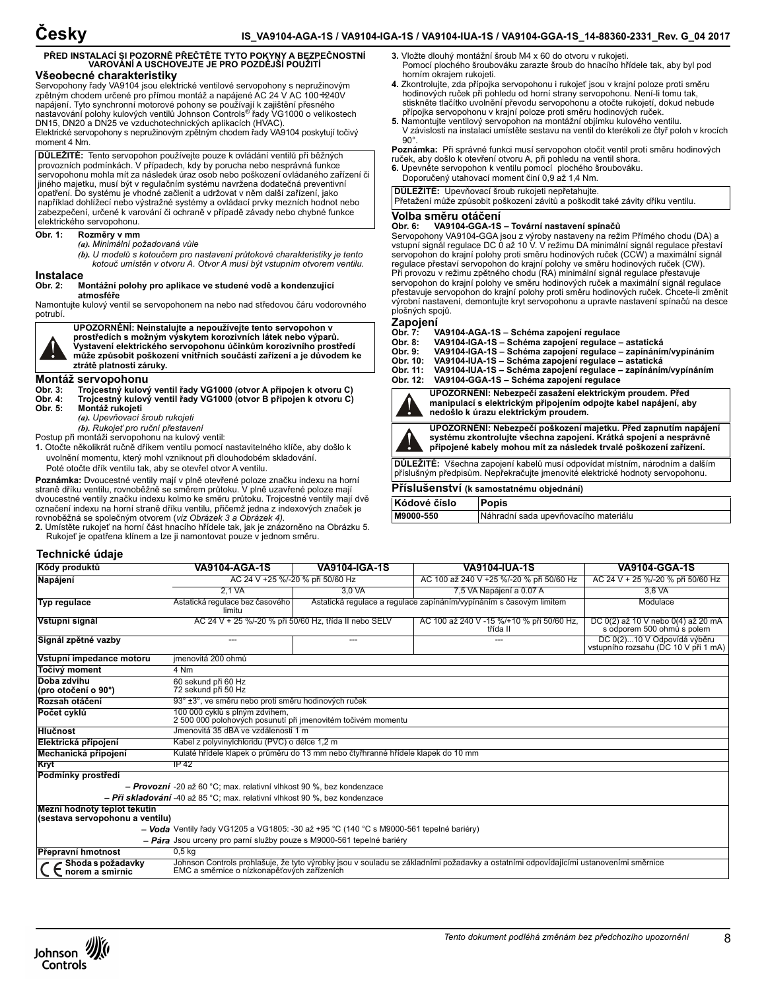# **PŘED INSTALACÍ SI POZORNĚ PŘEČTĚTE TYTO POKYNY A BEZPEČNOSTNÍ VAROVÁNÍ A USCHOVEJTE JE PRO POZDĚJŠÍ POUŽITÍ Všeobecné charakteristiky**

Servopohony řady VA9104 jsou elektrické ventilové servopohony s nepružinovým zpětným chodem určené pro přímou montáž a napájené AC 24 V AC 100÷240V napájení. Tyto synchronní motorové pohony se používají k zajištění přesného nastavování polohy kulových ventilů Johnson Controls ® řady VG1000 o velikostech DN15, DN20 a DN25 ve vzduchotechnických aplikacích (HVAC). Elektrické servopohony s nepružinovým zpětným chodem řady VA9104 poskytují točivý moment 4 Nm.

**DŮLEŽITÉ:** Tento servopohon používejte pouze k ovládání ventilů při běžných provozních podmínkách. V případech, kdy by porucha nebo nesprávná funkce servopohonu mohla mít za následek úraz osob nebo poškození ovládaného zařízení či jiného majetku, musí být v regulačním systému navržena dodatečná preventivní opatření. Do systému je vhodné začlenit a udržovat v něm další zařízení, jako například dohlížecí nebo výstražné systémy a ovládací prvky mezních hodnot nebo zabezpečení, určené k varování či ochraně v případě závady nebo chybné funkce elektrického servopohonu.

#### **Obr. 1: Rozměry v mm**

*(a). Minimální požadovaná vůle*

*(b). U modelů s kotoučem pro nastavení průtokové charakteristiky je tento kotouč umístěn v otvoru A. Otvor A musí být vstupním otvorem ventilu.*

# **Instalace**<br>Obr. 2:

#### **Obr. 2: Montážní polohy pro aplikace ve studené vodě a kondenzující atmosféře**

Namontujte kulový ventil se servopohonem na nebo nad středovou čáru vodorovného potrubí.



**UPOZORNĚNÍ: Neinstalujte a nepoužívejte tento servopohon v prostředích s možným výskytem korozivních látek nebo výparů. Vystavení elektrického servopohonu účinkům korozivního prostředí může způsobit poškození vnitřních součástí zařízení a je důvodem ke ztrátě platnosti záruky.**

# **Montáž servopohonu**

- 
- **Obr. 3: Trojcestný kulový ventil řady VG1000 (otvor A připojen k otvoru C) Obr. 4: Trojcestný kulový ventil řady VG1000 (otvor B připojen k otvoru C)**
	- **Obr. 5: Montáž rukojeti**
	- *(a). Upevňovací šroub rukojeti*
	- *(b). Rukojeť pro ruční přestavení*

Postup při montáži servopohonu na kulový ventil:

- **1.** Otočte několikrát ručně dříkem ventilu pomocí nastavitelného klíče, aby došlo k uvolnění momentu, který mohl vzniknout při dlouhodobém skladování.
- Poté otočte dřík ventilu tak, aby se otevřel otvor A ventilu.

**Poznámka:** Dvoucestné ventily mají v plně otevřené poloze značku indexu na horní straně dříku ventilu, rovnoběžně se směrem průtoku. V plně uzavřené poloze mají dvoucestné ventily značku indexu kolmo ke směru průtoku. Trojcestné ventily mají dvě označení indexu na horní straně dříku ventilu, přičemž jedna z indexových značek je rovnoběžná se společným otvorem (*viz Obrázek 3 a Obrázek 4).*

**2.** Umístěte rukojeť na horní část hnacího hřídele tak, jak je znázorněno na Obrázku 5. Rukojeť je opatřena klínem a lze ji namontovat pouze v jednom směru.

| Technické údaje                                                 |                                                                                                                                                                                     |                                                                     |                                                       |                                                                     |  |
|-----------------------------------------------------------------|-------------------------------------------------------------------------------------------------------------------------------------------------------------------------------------|---------------------------------------------------------------------|-------------------------------------------------------|---------------------------------------------------------------------|--|
| Kódy produktů                                                   | <b>VA9104-AGA-1S</b>                                                                                                                                                                | <b>VA9104-IGA-1S</b>                                                | <b>VA9104-IUA-1S</b>                                  | <b>VA9104-GGA-1S</b>                                                |  |
| Napájení                                                        | AC 24 V +25 %/-20 % při 50/60 Hz                                                                                                                                                    |                                                                     | AC 100 až 240 V +25 %/-20 % při 50/60 Hz              | AC 24 V + 25 %/-20 % při 50/60 Hz                                   |  |
|                                                                 | 2.1 VA                                                                                                                                                                              | 3,0 VA                                                              | 7,5 VA Napájení a 0.07 A                              | 3,6 VA                                                              |  |
| Typ regulace                                                    | Astatická regulace bez časového<br>limitu                                                                                                                                           | Astatická regulace a regulace zapínáním/vypínáním s časovým limitem |                                                       | Modulace                                                            |  |
| Vstupní signál                                                  | AC 24 V + 25 %/-20 % při 50/60 Hz, třída II nebo SELV                                                                                                                               |                                                                     | AC 100 až 240 V -15 %/+10 % při 50/60 Hz,<br>třída II | DC 0(2) až 10 V nebo 0(4) až 20 mA<br>s odporem 500 ohmů s polem    |  |
| Signál zpětné vazby                                             |                                                                                                                                                                                     | ---                                                                 |                                                       | DC 0(2)10 V Odpovídá výběru<br>vstupního rozsahu (DC 10 V při 1 mA) |  |
| Vstupní impedance motoru                                        | jmenovitá 200 ohmů                                                                                                                                                                  |                                                                     |                                                       |                                                                     |  |
| Točivý moment                                                   | 4 Nm                                                                                                                                                                                |                                                                     |                                                       |                                                                     |  |
| Doba zdvihu<br>(pro otočení o 90°)                              | 60 sekund při 60 Hz<br>72 sekund při 50 Hz                                                                                                                                          |                                                                     |                                                       |                                                                     |  |
| Rozsah otáčení                                                  | 93° ±3°, ve směru nebo proti směru hodinových ruček                                                                                                                                 |                                                                     |                                                       |                                                                     |  |
| Počet cvklů                                                     | 100 000 cyklů s plným zdvihem,<br>2 500 000 polohových posunutí při jmenovitém točivém momentu                                                                                      |                                                                     |                                                       |                                                                     |  |
| <b>Hlučnost</b>                                                 | Jmenovitá 35 dBA ve vzdálenosti 1 m                                                                                                                                                 |                                                                     |                                                       |                                                                     |  |
| Elektrická připojení                                            | Kabel z polyvinylchloridu (PVC) o délce 1,2 m                                                                                                                                       |                                                                     |                                                       |                                                                     |  |
| Mechanická připojení                                            | Kulaté hřídele klapek o průměru do 13 mm nebo čtyřhranné hřídele klapek do 10 mm                                                                                                    |                                                                     |                                                       |                                                                     |  |
| Kryt                                                            | IP 42                                                                                                                                                                               |                                                                     |                                                       |                                                                     |  |
| Podmínky prostředí                                              |                                                                                                                                                                                     |                                                                     |                                                       |                                                                     |  |
|                                                                 | - <b>Provozní</b> -20 až 60 °C; max. relativní vlhkost 90 %, bez kondenzace                                                                                                         |                                                                     |                                                       |                                                                     |  |
|                                                                 | - Při skladování -40 až 85 °C; max. relativní vlhkost 90 %, bez kondenzace                                                                                                          |                                                                     |                                                       |                                                                     |  |
| Mezní hodnoty teplot tekutin<br>(sestava servopohonu a ventilu) |                                                                                                                                                                                     |                                                                     |                                                       |                                                                     |  |
|                                                                 | - Voda Ventily řady VG1205 a VG1805: -30 až +95 °C (140 °C s M9000-561 tepelné bariéry)                                                                                             |                                                                     |                                                       |                                                                     |  |
|                                                                 | - Pára Jsou urceny pro parní služby pouze s M9000-561 tepelné bariéry                                                                                                               |                                                                     |                                                       |                                                                     |  |
| Přepravní hmotnost                                              | $0,5$ kg                                                                                                                                                                            |                                                                     |                                                       |                                                                     |  |
| Shoda s požadavky<br>norem a smirnic                            | Johnson Controls prohlašuje, že tyto výrobky jsou v souladu se základními požadavky a ostatními odpovídajícími ustanoveními směrnice<br>EMC a směrnice o nízkonapěťových zařízeních |                                                                     |                                                       |                                                                     |  |

- **3.** Vložte dlouhý montážní šroub M4 x 60 do otvoru v rukojeti. Pomocí plochého šroubováku zarazte šroub do hnacího hřídele tak, aby byl pod horním okrajem rukojeti.
- 4. Zkontrolujte, zda přípojka servopohonu i rukojeť jsou v krajní poloze proti směru<br>hodinových ruček při pohledu od horní strany servopohonu. Není-li tomu tak,<br>stiskněte tlačítko uvolnění převodu servopohonu a otočte ruko přípojka servopohonu v krajní poloze proti směru hodinových ruček.
- **5.** Namontujte ventilový servopohon na montážní objímku kulového ventilu. V závislosti na instalaci umístěte sestavu na ventil do kterékoli ze čtyř poloh v krocích  $90^\circ$

**Poznámka:** Při správné funkci musí servopohon otočit ventil proti směru hodinových ruček, aby došlo k otevření otvoru A, při pohledu na ventil shora.

- **6.** Upevněte servopohon k ventilu pomocí plochého šroubováku. Doporučený utahovací moment činí 0,9 až 1,4 Nm.
- **DŮLEŽITÉ:** Upevňovací šroub rukojeti nepřetahujte.

Přetažení může způsobit poškození závitů a poškodit také závity dříku ventilu.

# **Volba směru otáčení**

#### **Obr. 6: VA9104-GGA-1S – Tovární nastavení spínačů**

Servopohony VA9104-GGA jsou z výroby nastaveny na režim Přímého chodu (DA) a<br>vstupní signál regulace DC 0 až 10 V. V režimu DA minimální signál regulace přestaví<br>servopohon do krajní polohy proti směru hodinových ruček (CC regulace přestaví servopohon do krajní polohy ve směru hodinových ruček (CW). Při provozu v režimu zpětného chodu (RA) minimální signál regulace přestavuje servopohon do krajní polohy ve směru hodinových ruček a maximální signál regulace přestavuje servopohon do krajní polohy proti směru hodinových ruček. Chcete-li změnit výrobní nastavení, demontujte kryt servopohonu a upravte nastavení spínačů na desce plošných spojů.

Zapojení<br><sub>Obr. 7:</sub>

**nedošlo k úrazu elektrickým proudem.**

- **Obr. 7: VA9104-AGA-1S Schéma zapojení regulace**
- **Obr. 8: VA9104-IGA-1S Schéma zapojení regulace astatická**
- **Obr. 9: VA9104-IGA-1S Schéma zapojení regulace zapínáním/vypínáním Obr. 10: VA9104-IUA-1S Schéma zapojení regulace astatická**
- **Obr. 11: VA9104-IUA-1S Schéma zapojení regulace zapínáním/vypínáním Obr. 12: VA9104-GGA-1S – Schéma zapojení regulace UPOZORNĚNÍ: Nebezpečí zasažení elektrickým proudem. Před**

**manipulací s elektrickým připojením odpojte kabel napájení, aby** 

**UPOZORNĚNÍ: Nebezpečí poškození majetku. Před zapnutím napájení systému zkontrolujte všechna zapojení. Krátká spojení a nesprávně připojené kabely mohou mít za následek trvalé poškození zařízení.**

**DŮLEŽITÉ:** Všechna zapojení kabelů musí odpovídat místním, národním a dalším příslušným předpisům. Nepřekračujte jmenovité elektrické hodnoty servopohonu.

#### **Příslušenství (k samostatnému objednání)**

| Kódové číslo | <b>Popis</b>                         |
|--------------|--------------------------------------|
| M9000-550    | Náhradní sada upevňovacího materiálu |